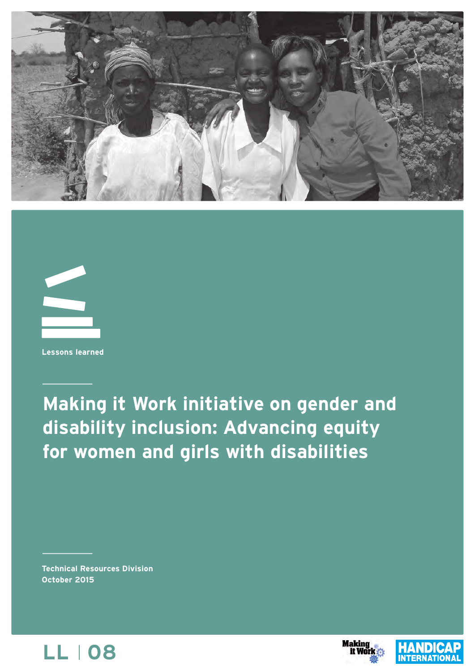



**Lessons learned**

**Making it Work initiative on gender and disability inclusion: Advancing equity for women and girls with disabilities**

**Technical Resources Division October 2015**





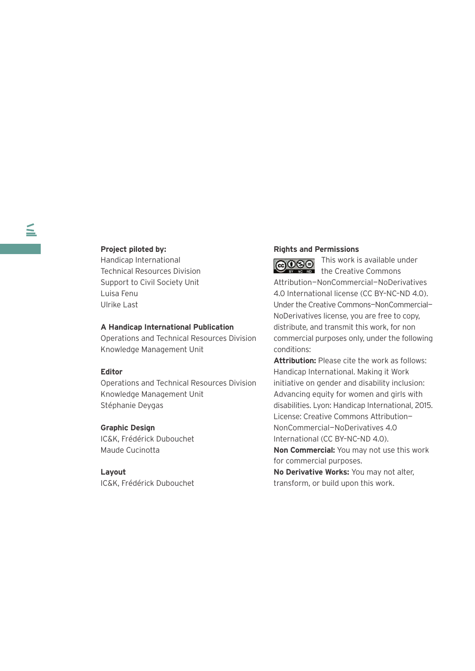### **Project piloted by:**

Handicap International Technical Resources Division Support to Civil Society Unit Luisa Fenu Ulrike Last

### **A Handicap International Publication**

Operations and Technical Resources Division Knowledge Management Unit

### **Editor**

Operations and Technical Resources Division Knowledge Management Unit Stéphanie Deygas

### **Graphic Design**

IC&K, Frédérick Dubouchet Maude Cucinotta

### **Layout**

IC&K, Frédérick Dubouchet

### **Rights and Permissions**

the Creative Commons Attribution—NonCommercial—NoDerivatives 4.0 International license (CC BY–NC–ND 4.0). Under the Creative Commons—NonCommercial— NoDerivatives license, you are free to copy, distribute, and transmit this work, for non commercial purposes only, under the following conditions:

This work is available under

**Attribution:** Please cite the work as follows: Handicap International. Making it Work initiative on gender and disability inclusion: Advancing equity for women and girls with disabilities. Lyon: Handicap International, 2015. License: Creative Commons Attribution— NonCommercial—NoDerivatives 4.0 International (CC BY–NC–ND 4.0).

**Non Commercial:** You may not use this work for commercial purposes.

**No Derivative Works:** You may not alter, transform, or build upon this work.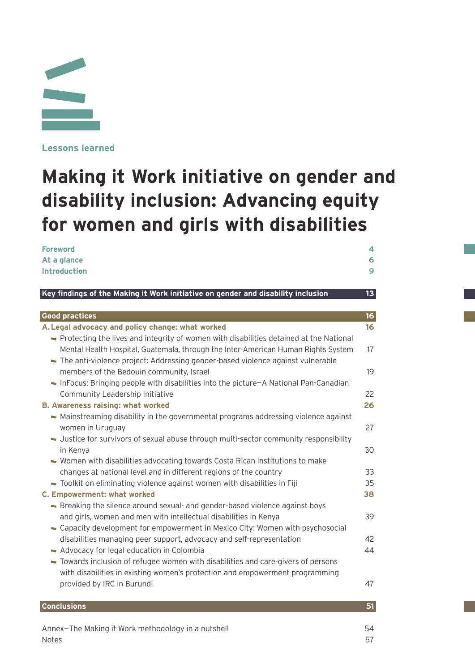

**Lessons learned**

# **Making it Work initiative on gender and disability inclusion: Advancing equity for women and girls with disabilities**

| <b>Foreword</b><br>At a glance<br><b>Introduction</b>                                                                                                                                                                                                             | 4<br>6<br>9     |
|-------------------------------------------------------------------------------------------------------------------------------------------------------------------------------------------------------------------------------------------------------------------|-----------------|
| Key findings of the Making it Work initiative on gender and disability inclusion                                                                                                                                                                                  | 13 <sup>°</sup> |
| <b>Good practices</b>                                                                                                                                                                                                                                             | 16 <sup>1</sup> |
| A. Legal advocacy and policy change: what worked                                                                                                                                                                                                                  | 16              |
| - Protecting the lives and integrity of women with disabilities detained at the National<br>Mental Health Hospital, Guatemala, through the Inter-American Human Rights System<br>- The anti-violence project: Addressing gender-based violence against vulnerable | 17              |
| members of the Bedouin community, Israel                                                                                                                                                                                                                          | 19              |
| - InFocus: Bringing people with disabilities into the picture-A National Pan-Canadian<br>Community Leadership Initiative<br><b>B. Awareness raising: what worked</b>                                                                                              | 22<br>26        |
| - Mainstreaming disability in the governmental programs addressing violence against<br>women in Uruguay<br>- Justice for survivors of sexual abuse through multi-sector community responsibility                                                                  | 27              |
| in Kenya<br>- Women with disabilities advocating towards Costa Rican institutions to make                                                                                                                                                                         | 30              |
| changes at national level and in different regions of the country                                                                                                                                                                                                 | 33              |
| Toolkit on eliminating violence against women with disabilities in Fiji                                                                                                                                                                                           | 35              |
| <b>C. Empowerment: what worked</b>                                                                                                                                                                                                                                | 38              |
| - Breaking the silence around sexual- and gender-based violence against boys<br>and girls, women and men with intellectual disabilities in Kenya<br>- Capacity development for empowerment in Mexico City: Women with psychosocial                                | 39              |
| disabilities managing peer support, advocacy and self-representation                                                                                                                                                                                              | 42              |
| - Advocacy for legal education in Colombia<br>Towards inclusion of refugee women with disabilities and care-givers of persons<br>with disabilities in existing women's protection and empowerment programming                                                     | 44              |
| provided by IRC in Burundi                                                                                                                                                                                                                                        | 47              |
| <b>Conclusions</b>                                                                                                                                                                                                                                                | 51              |
| Annex-The Making it Work methodology in a nutshell<br><b>Notes</b>                                                                                                                                                                                                | 54<br>57        |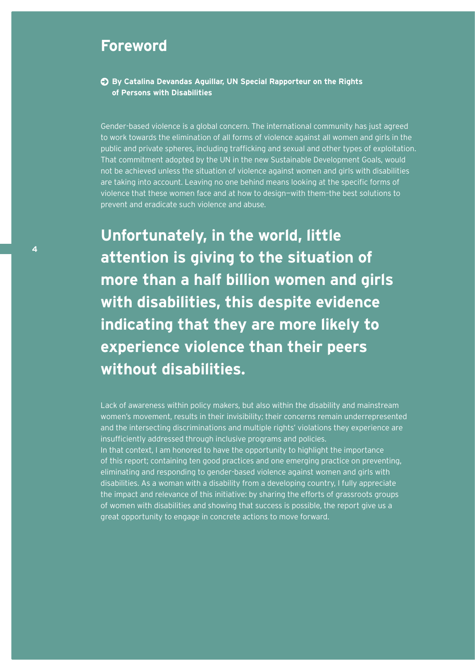### **Foreword**

### **By Catalina Devandas Aguillar, UN Special Rapporteur on the Rights of Persons with Disabilities**

Gender-based violence is a global concern. The international community has just agreed to work towards the elimination of all forms of violence against all women and girls in the public and private spheres, including trafficking and sexual and other types of exploitation. That commitment adopted by the UN in the new Sustainable Development Goals, would not be achieved unless the situation of violence against women and girls with disabilities are taking into account. Leaving no one behind means looking at the specific forms of violence that these women face and at how to design—with them–the best solutions to prevent and eradicate such violence and abuse.

**Unfortunately, in the world, little attention is giving to the situation of more than a half billion women and girls with disabilities, this despite evidence indicating that they are more likely to experience violence than their peers without disabilities.** 

Lack of awareness within policy makers, but also within the disability and mainstream women's movement, results in their invisibility; their concerns remain underrepresented and the intersecting discriminations and multiple rights' violations they experience are insufficiently addressed through inclusive programs and policies. In that context, I am honored to have the opportunity to highlight the importance of this report; containing ten good practices and one emerging practice on preventing, eliminating and responding to gender-based violence against women and girls with disabilities. As a woman with a disability from a developing country, I fully appreciate the impact and relevance of this initiative: by sharing the efforts of grassroots groups of women with disabilities and showing that success is possible, the report give us a great opportunity to engage in concrete actions to move forward.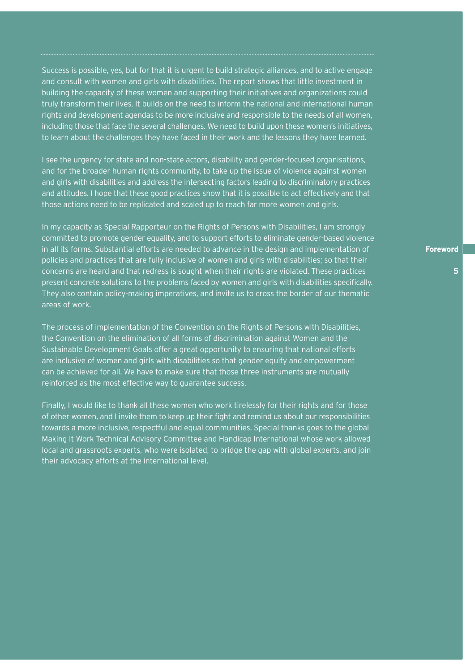Success is possible, yes, but for that it is urgent to build strategic alliances, and to active engage and consult with women and girls with disabilities. The report shows that little investment in building the capacity of these women and supporting their initiatives and organizations could truly transform their lives. It builds on the need to inform the national and international human rights and development agendas to be more inclusive and responsible to the needs of all women, including those that face the several challenges. We need to build upon these women's initiatives, to learn about the challenges they have faced in their work and the lessons they have learned.

I see the urgency for state and non-state actors, disability and gender-focused organisations, and for the broader human rights community, to take up the issue of violence against women and girls with disabilities and address the intersecting factors leading to discriminatory practices and attitudes. I hope that these good practices show that it is possible to act effectively and that those actions need to be replicated and scaled up to reach far more women and girls.

In my capacity as Special Rapporteur on the Rights of Persons with Disabilities, I am strongly committed to promote gender equality, and to support efforts to eliminate gender-based violence in all its forms. Substantial efforts are needed to advance in the design and implementation of policies and practices that are fully inclusive of women and girls with disabilities; so that their concerns are heard and that redress is sought when their rights are violated. These practices present concrete solutions to the problems faced by women and girls with disabilities specifically. They also contain policy-making imperatives, and invite us to cross the border of our thematic areas of work.

The process of implementation of the Convention on the Rights of Persons with Disabilities, the Convention on the elimination of all forms of discrimination against Women and the Sustainable Development Goals offer a great opportunity to ensuring that national efforts are inclusive of women and girls with disabilities so that gender equity and empowerment can be achieved for all. We have to make sure that those three instruments are mutually reinforced as the most effective way to guarantee success.

Finally, I would like to thank all these women who work tirelessly for their rights and for those of other women, and I invite them to keep up their fight and remind us about our responsibilities towards a more inclusive, respectful and equal communities. Special thanks goes to the global Making It Work Technical Advisory Committee and Handicap International whose work allowed local and grassroots experts, who were isolated, to bridge the gap with global experts, and join their advocacy efforts at the international level.

**Foreword**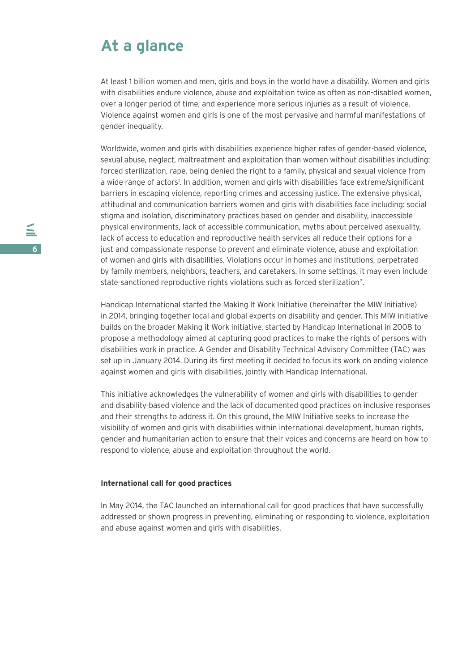### **At a glance**

At least 1 billion women and men, girls and boys in the world have a disability. Women and girls with disabilities endure violence, abuse and exploitation twice as often as non-disabled women, over a longer period of time, and experience more serious injuries as a result of violence. Violence against women and girls is one of the most pervasive and harmful manifestations of gender inequality.

Worldwide, women and girls with disabilities experience higher rates of gender-based violence, sexual abuse, neglect, maltreatment and exploitation than women without disabilities including: forced sterilization, rape, being denied the right to a family, physical and sexual violence from a wide range of actors<sup>1</sup>. In addition, women and girls with disabilities face extreme/significant barriers in escaping violence, reporting crimes and accessing justice. The extensive physical, attitudinal and communication barriers women and girls with disabilities face including: social stigma and isolation, discriminatory practices based on gender and disability, inaccessible physical environments, lack of accessible communication, myths about perceived asexuality, lack of access to education and reproductive health services all reduce their options for a just and compassionate response to prevent and eliminate violence, abuse and exploitation of women and girls with disabilities. Violations occur in homes and institutions, perpetrated by family members, neighbors, teachers, and caretakers. In some settings, it may even include state-sanctioned reproductive rights violations such as forced sterilization<sup>2</sup>.

Handicap International started the Making It Work Initiative (hereinafter the MIW Initiative) in 2014, bringing together local and global experts on disability and gender. This MIW initiative builds on the broader Making it Work initiative, started by Handicap International in 2008 to propose a methodology aimed at capturing good practices to make the rights of persons with disabilities work in practice. A Gender and Disability Technical Advisory Committee (TAC) was set up in January 2014. During its first meeting it decided to focus its work on ending violence against women and girls with disabilities, jointly with Handicap International.

This initiative acknowledges the vulnerability of women and girls with disabilities to gender and disability-based violence and the lack of documented good practices on inclusive responses and their strengths to address it. On this ground, the MIW Initiative seeks to increase the visibility of women and girls with disabilities within international development, human rights, gender and humanitarian action to ensure that their voices and concerns are heard on how to respond to violence, abuse and exploitation throughout the world.

### **International call for good practices**

In May 2014, the TAC launched an international call for good practices that have successfully addressed or shown progress in preventing, eliminating or responding to violence, exploitation and abuse against women and girls with disabilities.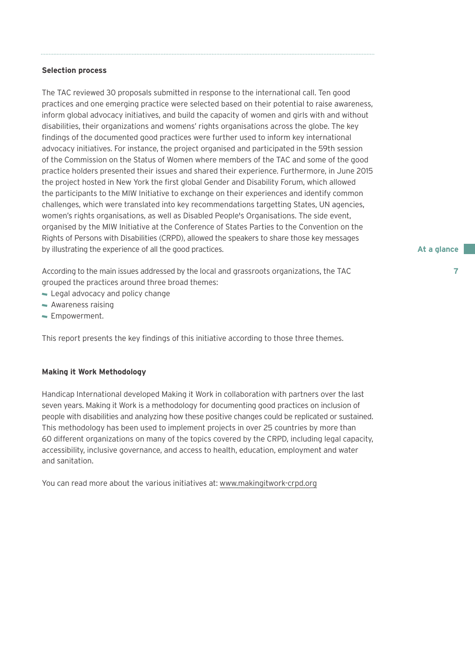### **Selection process**

The TAC reviewed 30 proposals submitted in response to the international call. Ten good practices and one emerging practice were selected based on their potential to raise awareness, inform global advocacy initiatives, and build the capacity of women and girls with and without disabilities, their organizations and womens' rights organisations across the globe. The key findings of the documented good practices were further used to inform key international advocacy initiatives. For instance, the project organised and participated in the 59th session of the Commission on the Status of Women where members of the TAC and some of the good practice holders presented their issues and shared their experience. Furthermore, in June 2015 the project hosted in New York the first global Gender and Disability Forum, which allowed the participants to the MIW Initiative to exchange on their experiences and identify common challenges, which were translated into key recommendations targetting States, UN agencies, women's rights organisations, as well as Disabled People's Organisations. The side event, organised by the MIW Initiative at the Conference of States Parties to the Convention on the Rights of Persons with Disabilities (CRPD), allowed the speakers to share those key messages by illustrating the experience of all the good practices.

According to the main issues addressed by the local and grassroots organizations, the TAC grouped the practices around three broad themes:

- Legal advocacy and policy change
- Awareness raising
- **Empowerment.**

This report presents the key findings of this initiative according to those three themes.

### **Making it Work Methodology**

Handicap International developed Making it Work in collaboration with partners over the last seven years. Making it Work is a methodology for documenting good practices on inclusion of people with disabilities and analyzing how these positive changes could be replicated or sustained. This methodology has been used to implement projects in over 25 countries by more than 60 different organizations on many of the topics covered by the CRPD, including legal capacity, accessibility, inclusive governance, and access to health, education, employment and water and sanitation.

You can read more about the various initiatives at: www.makingitwork-crpd.org

**At a glance**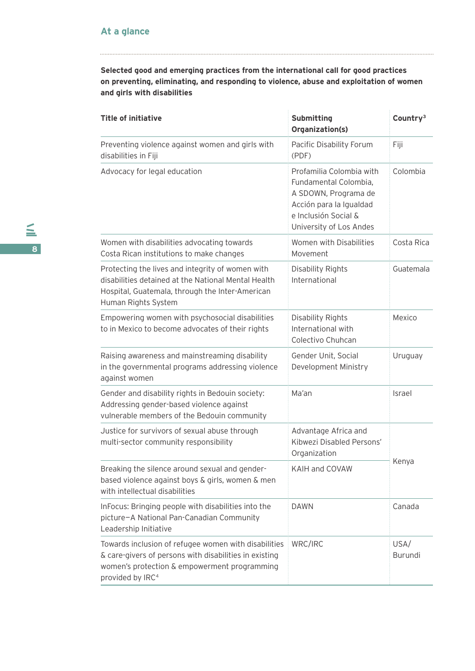**Selected good and emerging practices from the international call for good practices on preventing, eliminating, and responding to violence, abuse and exploitation of women and girls with disabilities**

| <b>Title of initiative</b>                                                                                                                                                                     | <b>Submitting</b><br>Organization(s)                                                                                                                    | Country <sup>3</sup>   |
|------------------------------------------------------------------------------------------------------------------------------------------------------------------------------------------------|---------------------------------------------------------------------------------------------------------------------------------------------------------|------------------------|
| Preventing violence against women and girls with<br>disabilities in Fiji                                                                                                                       | Pacific Disability Forum<br>(PDF)                                                                                                                       | Fiji                   |
| Advocacy for legal education                                                                                                                                                                   | Profamilia Colombia with<br>Fundamental Colombia,<br>A SDOWN, Programa de<br>Acción para la Igualdad<br>e Inclusión Social &<br>University of Los Andes | Colombia               |
| Women with disabilities advocating towards<br>Costa Rican institutions to make changes                                                                                                         | Women with Disabilities<br>Movement                                                                                                                     | Costa Rica             |
| Protecting the lives and integrity of women with<br>disabilities detained at the National Mental Health<br>Hospital, Guatemala, through the Inter-American<br>Human Rights System              | Disability Rights<br>International                                                                                                                      | Guatemala              |
| Empowering women with psychosocial disabilities<br>to in Mexico to become advocates of their rights                                                                                            | Disability Rights<br>International with<br>Colectivo Chuhcan                                                                                            | Mexico                 |
| Raising awareness and mainstreaming disability<br>in the governmental programs addressing violence<br>against women                                                                            | Gender Unit, Social<br>Development Ministry                                                                                                             | Uruguay                |
| Gender and disability rights in Bedouin society:<br>Addressing gender-based violence against<br>vulnerable members of the Bedouin community                                                    | Ma'an                                                                                                                                                   | Israel                 |
| Justice for survivors of sexual abuse through<br>multi-sector community responsibility                                                                                                         | Advantage Africa and<br>Kibwezi Disabled Persons'<br>Organization                                                                                       | Kenya                  |
| Breaking the silence around sexual and gender-<br>based violence against boys & girls, women & men<br>with intellectual disabilities                                                           | KAIH and COVAW                                                                                                                                          |                        |
| InFocus: Bringing people with disabilities into the<br>picture-A National Pan-Canadian Community<br>Leadership Initiative                                                                      | <b>DAWN</b>                                                                                                                                             | Canada                 |
| Towards inclusion of refugee women with disabilities<br>& care-givers of persons with disabilities in existing<br>women's protection & empowerment programming<br>provided by IRC <sup>4</sup> | WRC/IRC                                                                                                                                                 | USA/<br><b>Burundi</b> |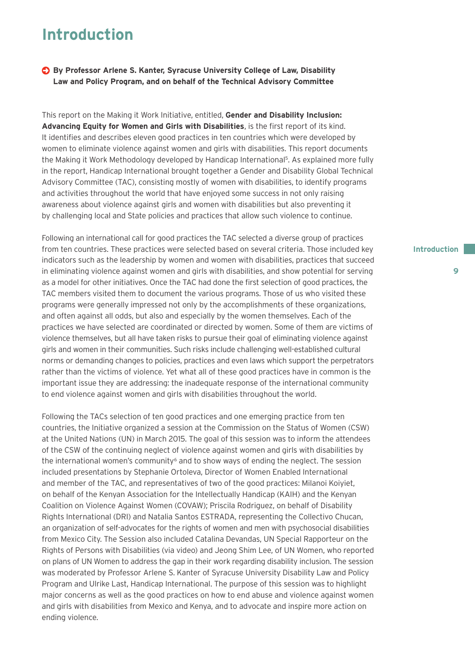### **Introduction**

**By Professor Arlene S. Kanter, Syracuse University College of Law, Disability Law and Policy Program, and on behalf of the Technical Advisory Committee**

This report on the Making it Work Initiative, entitled, **Gender and Disability Inclusion: Advancing Equity for Women and Girls with Disabilities**, is the first report of its kind. It identifies and describes eleven good practices in ten countries which were developed by women to eliminate violence against women and girls with disabilities. This report documents the Making it Work Methodology developed by Handicap International<sup>5</sup>. As explained more fully in the report, Handicap International brought together a Gender and Disability Global Technical Advisory Committee (TAC), consisting mostly of women with disabilities, to identify programs and activities throughout the world that have enjoyed some success in not only raising awareness about violence against girls and women with disabilities but also preventing it by challenging local and State policies and practices that allow such violence to continue.

Following an international call for good practices the TAC selected a diverse group of practices from ten countries. These practices were selected based on several criteria. Those included key indicators such as the leadership by women and women with disabilities, practices that succeed in eliminating violence against women and girls with disabilities, and show potential for serving as a model for other initiatives. Once the TAC had done the first selection of good practices, the TAC members visited them to document the various programs. Those of us who visited these programs were generally impressed not only by the accomplishments of these organizations, and often against all odds, but also and especially by the women themselves. Each of the practices we have selected are coordinated or directed by women. Some of them are victims of violence themselves, but all have taken risks to pursue their goal of eliminating violence against girls and women in their communities. Such risks include challenging well-established cultural norms or demanding changes to policies, practices and even laws which support the perpetrators rather than the victims of violence. Yet what all of these good practices have in common is the important issue they are addressing: the inadequate response of the international community to end violence against women and girls with disabilities throughout the world.

Following the TACs selection of ten good practices and one emerging practice from ten countries, the Initiative organized a session at the Commission on the Status of Women (CSW) at the United Nations (UN) in March 2015. The goal of this session was to inform the attendees of the CSW of the continuing neglect of violence against women and girls with disabilities by the international women's community<sup>6</sup> and to show ways of ending the neglect. The session included presentations by Stephanie Ortoleva, Director of Women Enabled International and member of the TAC, and representatives of two of the good practices: Milanoi Koiyiet, on behalf of the Kenyan Association for the Intellectually Handicap (KAIH) and the Kenyan Coalition on Violence Against Women (COVAW); Priscila Rodriguez, on behalf of Disability Rights International (DRI) and Natalia Santos ESTRADA, representing the Collectivo Chucan, an organization of self-advocates for the rights of women and men with psychosocial disabilities from Mexico City. The Session also included Catalina Devandas, UN Special Rapporteur on the Rights of Persons with Disabilities (via video) and Jeong Shim Lee, of UN Women, who reported on plans of UN Women to address the gap in their work regarding disability inclusion. The session was moderated by Professor Arlene S. Kanter of Syracuse University Disability Law and Policy Program and Ulrike Last, Handicap International. The purpose of this session was to highlight major concerns as well as the good practices on how to end abuse and violence against women and girls with disabilities from Mexico and Kenya, and to advocate and inspire more action on ending violence.

### **Introduction**

**9**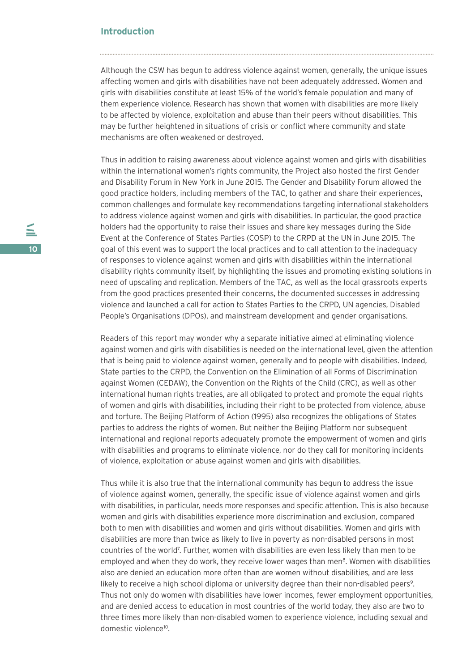### **Introduction**

Although the CSW has begun to address violence against women, generally, the unique issues affecting women and girls with disabilities have not been adequately addressed. Women and girls with disabilities constitute at least 15% of the world's female population and many of them experience violence. Research has shown that women with disabilities are more likely to be affected by violence, exploitation and abuse than their peers without disabilities. This may be further heightened in situations of crisis or conflict where community and state mechanisms are often weakened or destroyed.

Thus in addition to raising awareness about violence against women and girls with disabilities within the international women's rights community, the Project also hosted the first Gender and Disability Forum in New York in June 2015. The Gender and Disability Forum allowed the good practice holders, including members of the TAC, to gather and share their experiences, common challenges and formulate key recommendations targeting international stakeholders to address violence against women and girls with disabilities. In particular, the good practice holders had the opportunity to raise their issues and share key messages during the Side Event at the Conference of States Parties (COSP) to the CRPD at the UN in June 2015. The goal of this event was to support the local practices and to call attention to the inadequacy of responses to violence against women and girls with disabilities within the international disability rights community itself, by highlighting the issues and promoting existing solutions in need of upscaling and replication. Members of the TAC, as well as the local grassroots experts from the good practices presented their concerns, the documented successes in addressing violence and launched a call for action to States Parties to the CRPD, UN agencies, Disabled People's Organisations (DPOs), and mainstream development and gender organisations.

Readers of this report may wonder why a separate initiative aimed at eliminating violence against women and girls with disabilities is needed on the international level, given the attention that is being paid to violence against women, generally and to people with disabilities. Indeed, State parties to the CRPD, the Convention on the Elimination of all Forms of Discrimination against Women (CEDAW), the Convention on the Rights of the Child (CRC), as well as other international human rights treaties, are all obligated to protect and promote the equal rights of women and girls with disabilities, including their right to be protected from violence, abuse and torture. The Beijing Platform of Action (1995) also recognizes the obligations of States parties to address the rights of women. But neither the Beijing Platform nor subsequent international and regional reports adequately promote the empowerment of women and girls with disabilities and programs to eliminate violence, nor do they call for monitoring incidents of violence, exploitation or abuse against women and girls with disabilities.

Thus while it is also true that the international community has begun to address the issue of violence against women, generally, the specific issue of violence against women and girls with disabilities, in particular, needs more responses and specific attention. This is also because women and girls with disabilities experience more discrimination and exclusion, compared both to men with disabilities and women and girls without disabilities. Women and girls with disabilities are more than twice as likely to live in poverty as non-disabled persons in most countries of the world7 . Further, women with disabilities are even less likely than men to be employed and when they do work, they receive lower wages than men $<sup>8</sup>$ . Women with disabilities</sup> also are denied an education more often than are women without disabilities, and are less likely to receive a high school diploma or university degree than their non-disabled peers<sup>9</sup>. Thus not only do women with disabilities have lower incomes, fewer employment opportunities, and are denied access to education in most countries of the world today, they also are two to three times more likely than non-disabled women to experience violence, including sexual and domestic violence<sup>10</sup>.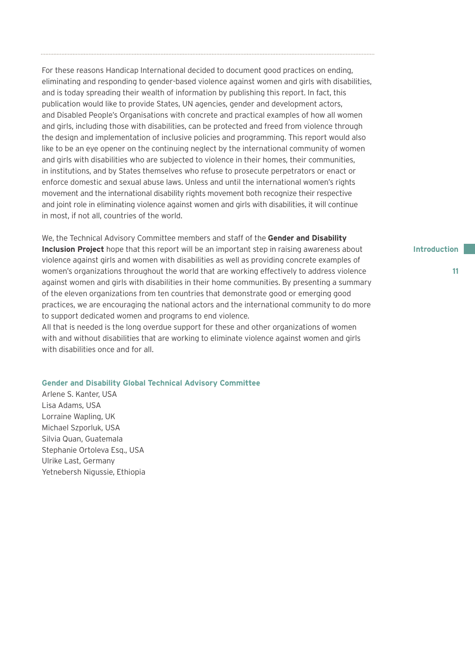For these reasons Handicap International decided to document good practices on ending, eliminating and responding to gender-based violence against women and girls with disabilities, and is today spreading their wealth of information by publishing this report. In fact, this publication would like to provide States, UN agencies, gender and development actors, and Disabled People's Organisations with concrete and practical examples of how all women and girls, including those with disabilities, can be protected and freed from violence through the design and implementation of inclusive policies and programming. This report would also like to be an eye opener on the continuing neglect by the international community of women and girls with disabilities who are subjected to violence in their homes, their communities, in institutions, and by States themselves who refuse to prosecute perpetrators or enact or enforce domestic and sexual abuse laws. Unless and until the international women's rights movement and the international disability rights movement both recognize their respective and joint role in eliminating violence against women and girls with disabilities, it will continue in most, if not all, countries of the world.

We, the Technical Advisory Committee members and staff of the **Gender and Disability Inclusion Project** hope that this report will be an important step in raising awareness about violence against girls and women with disabilities as well as providing concrete examples of women's organizations throughout the world that are working effectively to address violence against women and girls with disabilities in their home communities. By presenting a summary of the eleven organizations from ten countries that demonstrate good or emerging good practices, we are encouraging the national actors and the international community to do more to support dedicated women and programs to end violence.

All that is needed is the long overdue support for these and other organizations of women with and without disabilities that are working to eliminate violence against women and girls with disabilities once and for all.

### **Gender and Disability Global Technical Advisory Committee**

Arlene S. Kanter, USA Lisa Adams, USA Lorraine Wapling, UK Michael Szporluk, USA Silvia Quan, Guatemala Stephanie Ortoleva Esq., USA Ulrike Last, Germany Yetnebersh Nigussie, Ethiopia **Introduction**

**11**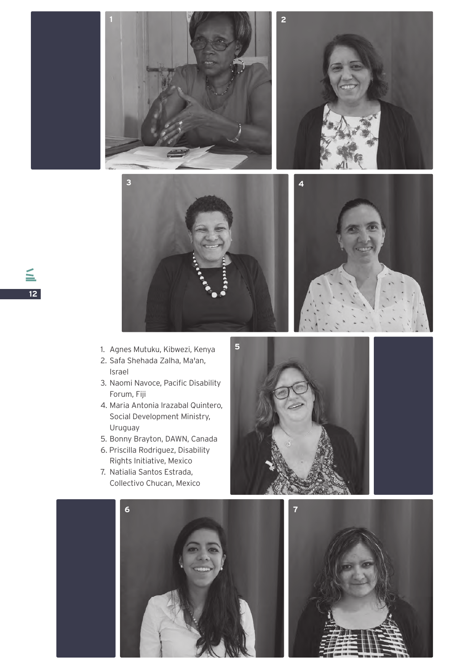







- 1. Agnes Mutuku, Kibwezi, Kenya
- 2. Safa Shehada Zalha, Ma'an, Israel
- 3. Naomi Navoce, Pacific Disability Forum, Fiji
- 4. Maria Antonia Irazabal Quintero, Social Development Ministry, Uruguay
- 5. Bonny Brayton, DAWN, Canada
- 6. Priscilla Rodriguez, Disability Rights Initiative, Mexico
- 7. Natialia Santos Estrada, Collectivo Chucan, Mexico



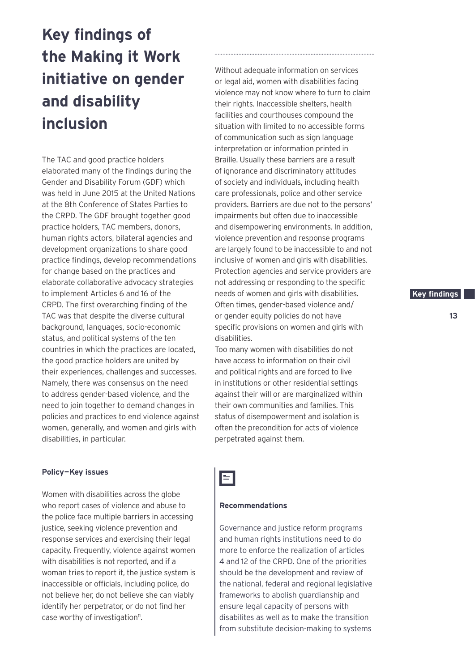# **Key findings of the Making it Work initiative on gender and disability inclusion**

The TAC and good practice holders elaborated many of the findings during the Gender and Disability Forum (GDF) which was held in June 2015 at the United Nations at the 8th Conference of States Parties to the CRPD. The GDF brought together good practice holders, TAC members, donors, human rights actors, bilateral agencies and development organizations to share good practice findings, develop recommendations for change based on the practices and elaborate collaborative advocacy strategies to implement Articles 6 and 16 of the CRPD. The first overarching finding of the TAC was that despite the diverse cultural background, languages, socio-economic status, and political systems of the ten countries in which the practices are located, the good practice holders are united by their experiences, challenges and successes. Namely, there was consensus on the need to address gender-based violence, and the need to join together to demand changes in policies and practices to end violence against women, generally, and women and girls with disabilities, in particular.

### **Policy—Key issues**

Women with disabilities across the globe who report cases of violence and abuse to the police face multiple barriers in accessing justice, seeking violence prevention and response services and exercising their legal capacity. Frequently, violence against women with disabilities is not reported, and if a woman tries to report it, the justice system is inaccessible or officials, including police, do not believe her, do not believe she can viably identify her perpetrator, or do not find her case worthy of investigation<sup>11</sup>.

Without adequate information on services or legal aid, women with disabilities facing violence may not know where to turn to claim their rights. Inaccessible shelters, health facilities and courthouses compound the situation with limited to no accessible forms of communication such as sign language interpretation or information printed in Braille. Usually these barriers are a result of ignorance and discriminatory attitudes of society and individuals, including health care professionals, police and other service providers. Barriers are due not to the persons' impairments but often due to inaccessible and disempowering environments. In addition, violence prevention and response programs are largely found to be inaccessible to and not inclusive of women and girls with disabilities. Protection agencies and service providers are not addressing or responding to the specific needs of women and girls with disabilities. Often times, gender-based violence and/ or gender equity policies do not have specific provisions on women and girls with disabilities.

Too many women with disabilities do not have access to information on their civil and political rights and are forced to live in institutions or other residential settings against their will or are marginalized within their own communities and families. This status of disempowerment and isolation is often the precondition for acts of violence perpetrated against them.

## $\blacksquare$

### **Recommendations**

Governance and justice reform programs and human rights institutions need to do more to enforce the realization of articles 4 and 12 of the CRPD. One of the priorities should be the development and review of the national, federal and regional legislative frameworks to abolish guardianship and ensure legal capacity of persons with disabilites as well as to make the transition from substitute decision-making to systems

### **Key findings.**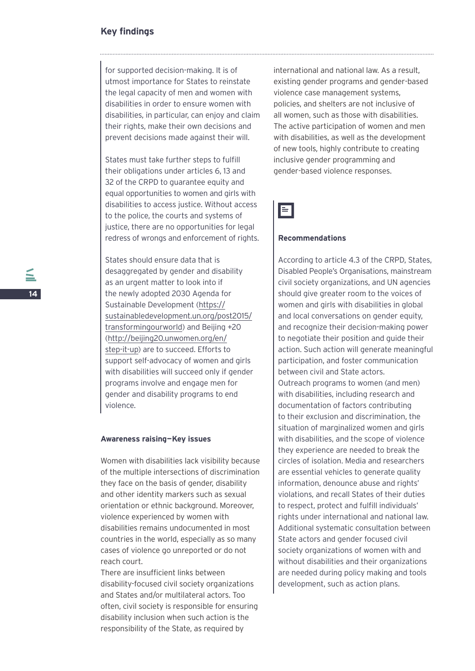### **Key findings**

for supported decision-making. It is of utmost importance for States to reinstate the legal capacity of men and women with disabilities in order to ensure women with disabilities, in particular, can enjoy and claim their rights, make their own decisions and prevent decisions made against their will.

States must take further steps to fulfill their obligations under articles 6, 13 and 32 of the CRPD to guarantee equity and equal opportunities to women and girls with disabilities to access justice. Without access to the police, the courts and systems of justice, there are no opportunities for legal redress of wrongs and enforcement of rights.

States should ensure data that is desaggregated by gender and disability as an urgent matter to look into if the newly adopted 2030 Agenda for Sustainable Development (https:// sustainabledevelopment.un.org/post2015/ transformingourworld) and Beijing +20 (http://beijing20.unwomen.org/en/ step-it-up) are to succeed. Efforts to support self-advocacy of women and girls with disabilities will succeed only if gender programs involve and engage men for gender and disability programs to end violence.

### **Awareness raising—Key issues**

Women with disabilities lack visibility because of the multiple intersections of discrimination they face on the basis of gender, disability and other identity markers such as sexual orientation or ethnic background. Moreover, violence experienced by women with disabilities remains undocumented in most countries in the world, especially as so many cases of violence go unreported or do not reach court.

There are insufficient links between disability-focused civil society organizations and States and/or multilateral actors. Too often, civil society is responsible for ensuring disability inclusion when such action is the responsibility of the State, as required by

international and national law. As a result, existing gender programs and gender-based violence case management systems, policies, and shelters are not inclusive of all women, such as those with disabilities. The active participation of women and men with disabilities, as well as the development of new tools, highly contribute to creating inclusive gender programming and gender-based violence responses.



### **Recommendations**

According to article 4.3 of the CRPD, States, Disabled People's Organisations, mainstream civil society organizations, and UN agencies should give greater room to the voices of women and girls with disabilities in global and local conversations on gender equity, and recognize their decision-making power to negotiate their position and guide their action. Such action will generate meaningful participation, and foster communication between civil and State actors. Outreach programs to women (and men) with disabilities, including research and documentation of factors contributing to their exclusion and discrimination, the situation of marginalized women and girls with disabilities, and the scope of violence they experience are needed to break the circles of isolation. Media and researchers are essential vehicles to generate quality information, denounce abuse and rights' violations, and recall States of their duties to respect, protect and fulfill individuals' rights under international and national law. Additional systematic consultation between State actors and gender focused civil society organizations of women with and without disabilities and their organizations are needed during policy making and tools development, such as action plans.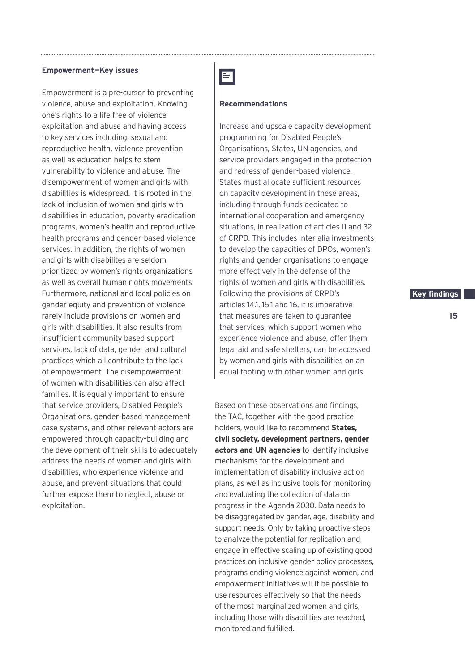#### **Empowerment—Key issues**

Empowerment is a pre-cursor to preventing violence, abuse and exploitation. Knowing one's rights to a life free of violence exploitation and abuse and having access to key services including: sexual and reproductive health, violence prevention as well as education helps to stem vulnerability to violence and abuse. The disempowerment of women and girls with disabilities is widespread. It is rooted in the lack of inclusion of women and girls with disabilities in education, poverty eradication programs, women's health and reproductive health programs and gender-based violence services. In addition, the rights of women and girls with disabilites are seldom prioritized by women's rights organizations as well as overall human rights movements. Furthermore, national and local policies on gender equity and prevention of violence rarely include provisions on women and girls with disabilities. It also results from insufficient community based support services, lack of data, gender and cultural practices which all contribute to the lack of empowerment. The disempowerment of women with disabilities can also affect families. It is equally important to ensure that service providers, Disabled People's Organisations, gender-based management case systems, and other relevant actors are empowered through capacity-building and the development of their skills to adequately address the needs of women and girls with disabilities, who experience violence and abuse, and prevent situations that could further expose them to neglect, abuse or exploitation.

### E

### **Recommendations**

Increase and upscale capacity development programming for Disabled People's Organisations, States, UN agencies, and service providers engaged in the protection and redress of gender-based violence. States must allocate sufficient resources on capacity development in these areas, including through funds dedicated to international cooperation and emergency situations, in realization of articles 11 and 32 of CRPD. This includes inter alia investments to develop the capacities of DPOs, women's rights and gender organisations to engage more effectively in the defense of the rights of women and girls with disabilities. Following the provisions of CRPD's articles 14.1, 15.1 and 16, it is imperative that measures are taken to guarantee that services, which support women who experience violence and abuse, offer them legal aid and safe shelters, can be accessed by women and girls with disabilities on an equal footing with other women and girls.

Based on these observations and findings, the TAC, together with the good practice holders, would like to recommend **States, civil society, development partners, gender actors and UN agencies** to identify inclusive mechanisms for the development and implementation of disability inclusive action plans, as well as inclusive tools for monitoring and evaluating the collection of data on progress in the Agenda 2030. Data needs to be disaggregated by gender, age, disability and support needs. Only by taking proactive steps to analyze the potential for replication and engage in effective scaling up of existing good practices on inclusive gender policy processes, programs ending violence against women, and empowerment initiatives will it be possible to use resources effectively so that the needs of the most marginalized women and girls, including those with disabilities are reached, monitored and fulfilled.

### **Key findings.**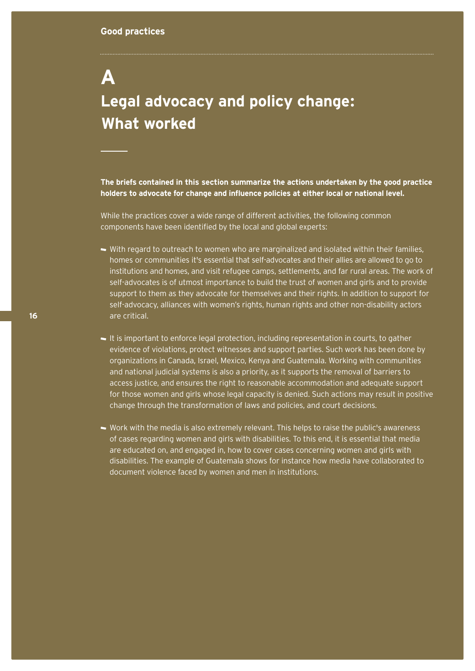# **A Legal advocacy and policy change: What worked**

**The briefs contained in this section summarize the actions undertaken by the good practice holders to advocate for change and influence policies at either local or national level.** 

While the practices cover a wide range of different activities, the following common components have been identified by the local and global experts:

- With regard to outreach to women who are marginalized and isolated within their families, homes or communities it's essential that self-advocates and their allies are allowed to go to institutions and homes, and visit refugee camps, settlements, and far rural areas. The work of self-advocates is of utmost importance to build the trust of women and girls and to provide support to them as they advocate for themselves and their rights. In addition to support for self-advocacy, alliances with women's rights, human rights and other non-disability actors are critical.
- It is important to enforce legal protection, including representation in courts, to gather evidence of violations, protect witnesses and support parties. Such work has been done by organizations in Canada, Israel, Mexico, Kenya and Guatemala. Working with communities and national judicial systems is also a priority, as it supports the removal of barriers to access justice, and ensures the right to reasonable accommodation and adequate support for those women and girls whose legal capacity is denied. Such actions may result in positive change through the transformation of laws and policies, and court decisions.
- Work with the media is also extremely relevant. This helps to raise the public's awareness of cases regarding women and girls with disabilities. To this end, it is essential that media are educated on, and engaged in, how to cover cases concerning women and girls with disabilities. The example of Guatemala shows for instance how media have collaborated to document violence faced by women and men in institutions.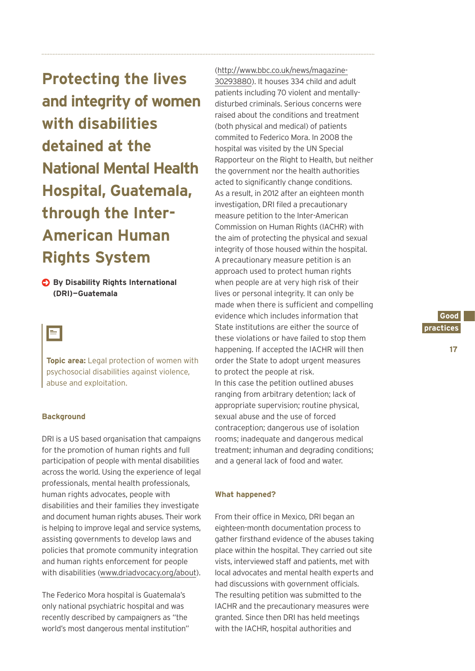**Protecting the lives and integrity of women with disabilities detained at the National Mental Health Hospital, Guatemala, through the Inter-American Human Rights System**

### **By Disability Rights International (DRI)—Guatemala**

E

**Topic area:** Legal protection of women with psychosocial disabilities against violence, abuse and exploitation.

### **Background**

DRI is a US based organisation that campaigns for the promotion of human rights and full participation of people with mental disabilities across the world. Using the experience of legal professionals, mental health professionals, human rights advocates, people with disabilities and their families they investigate and document human rights abuses. Their work is helping to improve legal and service systems, assisting governments to develop laws and policies that promote community integration and human rights enforcement for people with disabilities (www.driadvocacy.org/about).

The Federico Mora hospital is Guatemala's only national psychiatric hospital and was recently described by campaigners as "the world's most dangerous mental institution"

(http://www.bbc.co.uk/news/magazine-30293880). It houses 334 child and adult patients including 70 violent and mentallydisturbed criminals. Serious concerns were raised about the conditions and treatment (both physical and medical) of patients commited to Federico Mora. In 2008 the hospital was visited by the UN Special Rapporteur on the Right to Health, but neither the government nor the health authorities acted to significantly change conditions. As a result, in 2012 after an eighteen month investigation, DRI filed a precautionary measure petition to the Inter-American Commission on Human Rights (IACHR) with the aim of protecting the physical and sexual integrity of those housed within the hospital. A precautionary measure petition is an approach used to protect human rights when people are at very high risk of their lives or personal integrity. It can only be made when there is sufficient and compelling evidence which includes information that State institutions are either the source of these violations or have failed to stop them happening. If accepted the IACHR will then order the State to adopt urgent measures to protect the people at risk. In this case the petition outlined abuses ranging from arbitrary detention; lack of appropriate supervision; routine physical, sexual abuse and the use of forced contraception; dangerous use of isolation rooms; inadequate and dangerous medical treatment; inhuman and degrading conditions; and a general lack of food and water.

### **What happened?**

From their office in Mexico, DRI began an eighteen-month documentation process to gather firsthand evidence of the abuses taking place within the hospital. They carried out site vists, interviewed staff and patients, met with local advocates and mental health experts and had discussions with government officials. The resulting petition was submitted to the IACHR and the precautionary measures were granted. Since then DRI has held meetings with the IACHR, hospital authorities and

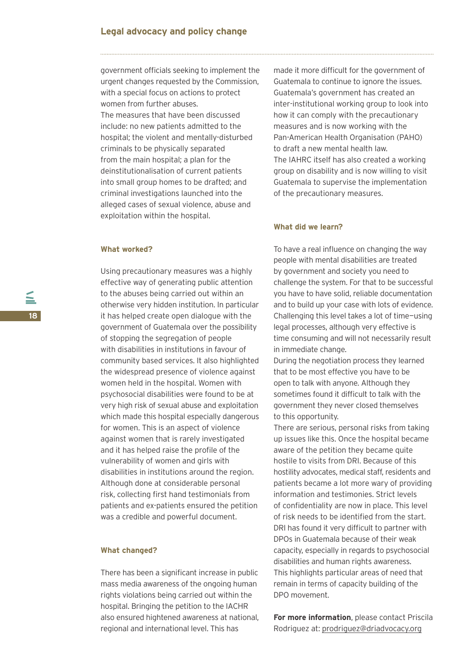government officials seeking to implement the urgent changes requested by the Commission, with a special focus on actions to protect women from further abuses. The measures that have been discussed include: no new patients admitted to the hospital; the violent and mentally-disturbed criminals to be physically separated from the main hospital; a plan for the deinstitutionalisation of current patients into small group homes to be drafted; and criminal investigations launched into the alleged cases of sexual violence, abuse and exploitation within the hospital.

### **What worked?**

Using precautionary measures was a highly effective way of generating public attention to the abuses being carried out within an otherwise very hidden institution. In particular it has helped create open dialogue with the government of Guatemala over the possibility of stopping the segregation of people with disabilities in institutions in favour of community based services. It also highlighted the widespread presence of violence against women held in the hospital. Women with psychosocial disabilities were found to be at very high risk of sexual abuse and exploitation which made this hospital especially dangerous for women. This is an aspect of violence against women that is rarely investigated and it has helped raise the profile of the vulnerability of women and girls with disabilities in institutions around the region. Although done at considerable personal risk, collecting first hand testimonials from patients and ex-patients ensured the petition was a credible and powerful document.

### **What changed?**

There has been a significant increase in public mass media awareness of the ongoing human rights violations being carried out within the hospital. Bringing the petition to the IACHR also ensured hightened awareness at national, regional and international level. This has

made it more difficult for the government of Guatemala to continue to ignore the issues. Guatemala's government has created an inter-institutional working group to look into how it can comply with the precautionary measures and is now working with the Pan-American Health Organisation (PAHO) to draft a new mental health law. The IAHRC itself has also created a working group on disability and is now willing to visit Guatemala to supervise the implementation of the precautionary measures.

### **What did we learn?**

To have a real influence on changing the way people with mental disabilities are treated by government and society you need to challenge the system. For that to be successful you have to have solid, reliable documentation and to build up your case with lots of evidence. Challenging this level takes a lot of time—using legal processes, although very effective is time consuming and will not necessarily result in immediate change.

During the negotiation process they learned that to be most effective you have to be open to talk with anyone. Although they sometimes found it difficult to talk with the government they never closed themselves to this opportunity.

There are serious, personal risks from taking up issues like this. Once the hospital became aware of the petition they became quite hostile to visits from DRI. Because of this hostility advocates, medical staff, residents and patients became a lot more wary of providing information and testimonies. Strict levels of confidentiality are now in place. This level of risk needs to be identified from the start. DRI has found it very difficult to partner with DPOs in Guatemala because of their weak capacity, especially in regards to psychosocial disabilities and human rights awareness. This highlights particular areas of need that remain in terms of capacity building of the DPO movement.

**For more information**, please contact Priscila Rodriguez at: prodriguez@driadvocacy.org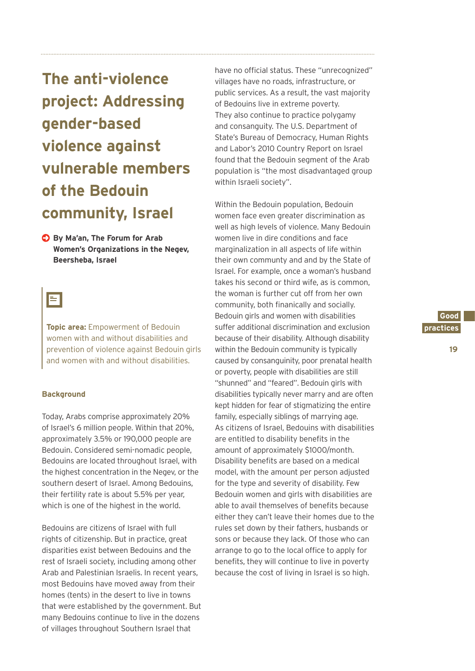**The anti-violence project: Addressing gender-based violence against vulnerable members of the Bedouin community, Israel**

**By Ma'an, The Forum for Arab Women's Organizations in the Negev, Beersheba, Israel**

### E

**Topic area:** Empowerment of Bedouin women with and without disabilities and prevention of violence against Bedouin girls and women with and without disabilities.

### **Background**

Today, Arabs comprise approximately 20% of Israel's 6 million people. Within that 20%, approximately 3.5% or 190,000 people are Bedouin. Considered semi-nomadic people, Bedouins are located throughout Israel, with the highest concentration in the Negev, or the southern desert of Israel. Among Bedouins, their fertility rate is about 5.5% per year, which is one of the highest in the world.

Bedouins are citizens of Israel with full rights of citizenship. But in practice, great disparities exist between Bedouins and the rest of Israeli society, including among other Arab and Palestinian Israelis. In recent years, most Bedouins have moved away from their homes (tents) in the desert to live in towns that were established by the government. But many Bedouins continue to live in the dozens of villages throughout Southern Israel that

have no official status. These "unrecognized" villages have no roads, infrastructure, or public services. As a result, the vast majority of Bedouins live in extreme poverty. They also continue to practice polygamy and consanguity. The U.S. Department of State's Bureau of Democracy, Human Rights and Labor's 2010 Country Report on Israel found that the Bedouin segment of the Arab population is "the most disadvantaged group within Israeli society".

Within the Bedouin population, Bedouin women face even greater discrimination as well as high levels of violence. Many Bedouin women live in dire conditions and face marginalization in all aspects of life within their own communty and and by the State of Israel. For example, once a woman's husband takes his second or third wife, as is common, the woman is further cut off from her own community, both finanically and socially. Bedouin girls and women with disabilities suffer additional discrimination and exclusion because of their disability. Although disability within the Bedouin community is typically caused by consanguinity, poor prenatal health or poverty, people with disabilities are still "shunned" and "feared". Bedouin girls with disabilities typically never marry and are often kept hidden for fear of stigmatizing the entire family, especially siblings of marrying age. As citizens of Israel, Bedouins with disabilities are entitled to disability benefits in the amount of approximately \$1000/month. Disability benefits are based on a medical model, with the amount per person adjusted for the type and severity of disability. Few Bedouin women and girls with disabilities are able to avail themselves of benefits because either they can't leave their homes due to the rules set down by their fathers, husbands or sons or because they lack. Of those who can arrange to go to the local office to apply for benefits, they will continue to live in poverty because the cost of living in Israel is so high.

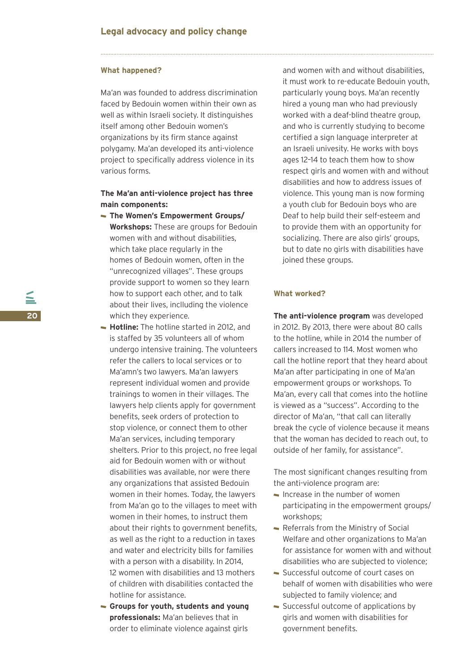#### **What happened?**

Ma'an was founded to address discrimination faced by Bedouin women within their own as well as within Israeli society. It distinguishes itself among other Bedouin women's organizations by its firm stance against polygamy. Ma'an developed its anti-violence project to specifically address violence in its various forms.

### **The Ma'an anti-violence project has three main components:**

- **The Women's Empowerment Groups/ Workshops:** These are groups for Bedouin women with and without disabilities, which take place regularly in the homes of Bedouin women, often in the "unrecognized villages". These groups provide support to women so they learn how to support each other, and to talk about their lives, inclluding the violence which they experience.
- **Hotline:** The hotline started in 2012, and is staffed by 35 volunteers all of whom undergo intensive training. The volunteers refer the callers to local services or to Ma'amn's two lawyers. Ma'an lawyers represent individual women and provide trainings to women in their villages. The lawyers help clients apply for government benefits, seek orders of protection to stop violence, or connect them to other Ma'an services, including temporary shelters. Prior to this project, no free legal aid for Bedouin women with or without disabilities was available, nor were there any organizations that assisted Bedouin women in their homes. Today, the lawyers from Ma'an go to the villages to meet with women in their homes, to instruct them about their rights to government benefits. as well as the right to a reduction in taxes and water and electricity bills for families with a person with a disability. In 2014, 12 women with disabilities and 13 mothers of children with disabilities contacted the hotline for assistance.
- **Groups for youth, students and young professionals:** Ma'an believes that in order to eliminate violence against girls

and women with and without disabilities, it must work to re-educate Bedouin youth, particularly young boys. Ma'an recently hired a young man who had previously worked with a deaf-blind theatre group, and who is currently studying to become certified a sign language interpreter at an Israeli univesity. He works with boys ages 12–14 to teach them how to show respect girls and women with and without disabilities and how to address issues of violence. This young man is now forming a youth club for Bedouin boys who are Deaf to help build their self-esteem and to provide them with an opportunity for socializing. There are also girls' groups, but to date no girls with disabilities have joined these groups.

### **What worked?**

**The anti-violence program** was developed in 2012. By 2013, there were about 80 calls to the hotline, while in 2014 the number of callers increased to 114. Most women who call the hotline report that they heard about Ma'an after participating in one of Ma'an empowerment groups or workshops. To Ma'an, every call that comes into the hotline is viewed as a "success". According to the director of Ma'an, "that call can literally break the cycle of violence because it means that the woman has decided to reach out, to outside of her family, for assistance".

The most significant changes resulting from the anti-violence program are:

- $\blacksquare$  Increase in the number of women participating in the empowerment groups/ workshops;
- Referrals from the Ministry of Social Welfare and other organizations to Ma'an for assistance for women with and without disabilities who are subjected to violence;
- Successful outcome of court cases on behalf of women with disabilities who were subjected to family violence; and
- Successful outcome of applications by girls and women with disabilities for government benefits.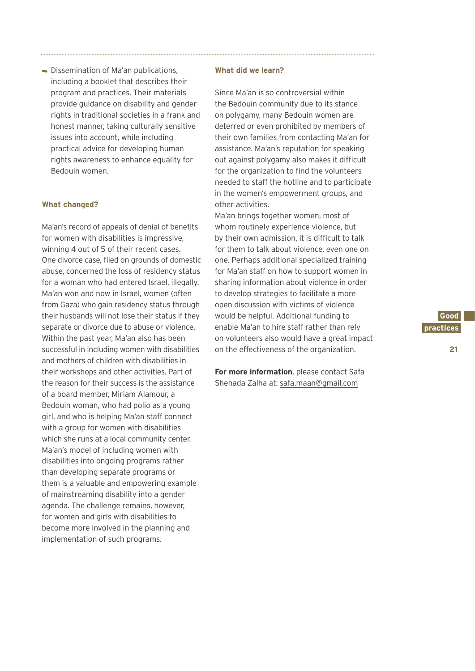Dissemination of Ma'an publications, including a booklet that describes their program and practices. Their materials provide guidance on disability and gender rights in traditional societies in a frank and honest manner, taking culturally sensitive issues into account, while including practical advice for developing human rights awareness to enhance equality for Bedouin women.

### **What changed?**

Ma'an's record of appeals of denial of benefits for women with disabilities is impressive, winning 4 out of 5 of their recent cases. One divorce case, filed on grounds of domestic abuse, concerned the loss of residency status for a woman who had entered Israel, illegally. Ma'an won and now in Israel, women (often from Gaza) who gain residency status through their husbands will not lose their status if they separate or divorce due to abuse or violence. Within the past year, Ma'an also has been successful in including women with disabilities and mothers of children with disabilities in their workshops and other activities. Part of the reason for their success is the assistance of a board member, Miriam Alamour, a Bedouin woman, who had polio as a young girl, and who is helping Ma'an staff connect with a group for women with disabilities which she runs at a local community center. Ma'an's model of including women with disabilities into ongoing programs rather than developing separate programs or them is a valuable and empowering example of mainstreaming disability into a gender agenda. The challenge remains, however, for women and girls with disabilities to become more involved in the planning and implementation of such programs.

### **What did we learn?**

Since Ma'an is so controversial within the Bedouin community due to its stance on polygamy, many Bedouin women are deterred or even prohibited by members of their own families from contacting Ma'an for assistance. Ma'an's reputation for speaking out against polygamy also makes it difficult for the organization to find the volunteers needed to staff the hotline and to participate in the women's empowerment groups, and other activities.

Ma'an brings together women, most of whom routinely experience violence, but by their own admission, it is difficult to talk for them to talk about violence, even one on one. Perhaps additional specialized training for Ma'an staff on how to support women in sharing information about violence in order to develop strategies to facilitate a more open discussion with victims of violence would be helpful. Additional funding to enable Ma'an to hire staff rather than rely on volunteers also would have a great impact on the effectiveness of the organization.

**For more information**, please contact Safa Shehada Zalha at: safa.maan@gmail.com



**21**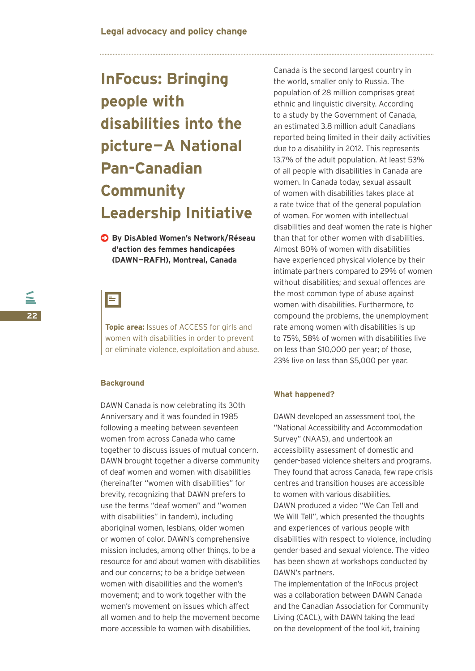# **InFocus: Bringing people with disabilities into the picture—A National Pan-Canadian Community Leadership Initiative**

**By DisAbled Women's Network/Réseau d'action des femmes handicapées (DAWN—RAFH), Montreal, Canada**

# EI

**Topic area:** Issues of ACCESS for girls and women with disabilities in order to prevent or eliminate violence, exploitation and abuse.

### **Background**

DAWN Canada is now celebrating its 30th Anniversary and it was founded in 1985 following a meeting between seventeen women from across Canada who came together to discuss issues of mutual concern. DAWN brought together a diverse community of deaf women and women with disabilities (hereinafter "women with disabilities" for brevity, recognizing that DAWN prefers to use the terms "deaf women" and "women with disabilities" in tandem), including aboriginal women, lesbians, older women or women of color. DAWN's comprehensive mission includes, among other things, to be a resource for and about women with disabilities and our concerns; to be a bridge between women with disabilities and the women's movement; and to work together with the women's movement on issues which affect all women and to help the movement become more accessible to women with disabilities.

Canada is the second largest country in the world, smaller only to Russia. The population of 28 million comprises great ethnic and linguistic diversity. According to a study by the Government of Canada, an estimated 3.8 million adult Canadians reported being limited in their daily activities due to a disability in 2012. This represents 13.7% of the adult population. At least 53% of all people with disabilities in Canada are women. In Canada today, sexual assault of women with disabilities takes place at a rate twice that of the general population of women. For women with intellectual disabilities and deaf women the rate is higher than that for other women with disabilities. Almost 80% of women with disabilities have experienced physical violence by their intimate partners compared to 29% of women without disabilities; and sexual offences are the most common type of abuse against women with disabilities. Furthermore, to compound the problems, the unemployment rate among women with disabilities is up to 75%, 58% of women with disabilities live on less than \$10,000 per year; of those, 23% live on less than \$5,000 per year.

### **What happened?**

DAWN developed an assessment tool, the "National Accessibility and Accommodation Survey" (NAAS), and undertook an accessibility assessment of domestic and gender-based violence shelters and programs. They found that across Canada, few rape crisis centres and transition houses are accessible to women with various disabilities. DAWN produced a video "We Can Tell and We Will Tell", which presented the thoughts and experiences of various people with disabilities with respect to violence, including gender-based and sexual violence. The video has been shown at workshops conducted by DAWN's partners.

The implementation of the InFocus project was a collaboration between DAWN Canada and the Canadian Association for Community Living (CACL), with DAWN taking the lead on the development of the tool kit, training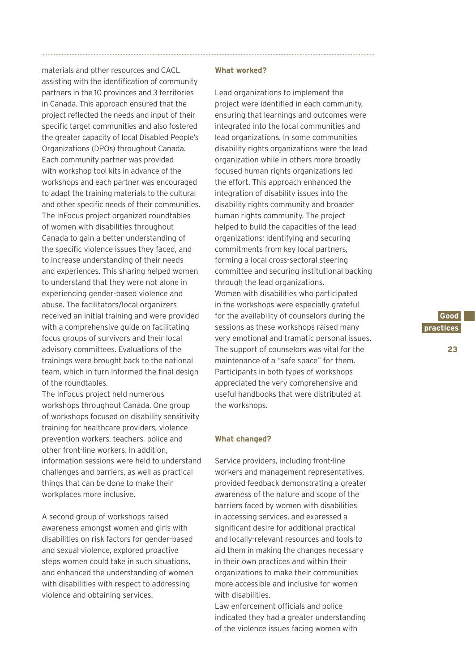materials and other resources and CACL assisting with the identification of community partners in the 10 provinces and 3 territories in Canada. This approach ensured that the project reflected the needs and input of their specific target communities and also fostered the greater capacity of local Disabled People's Organizations (DPOs) throughout Canada. Each community partner was provided with workshop tool kits in advance of the workshops and each partner was encouraged to adapt the training materials to the cultural and other specific needs of their communities. The InFocus project organized roundtables of women with disabilities throughout Canada to gain a better understanding of the specific violence issues they faced, and to increase understanding of their needs and experiences. This sharing helped women to understand that they were not alone in experiencing gender-based violence and abuse. The facilitators/local organizers received an initial training and were provided with a comprehensive guide on facilitating focus groups of survivors and their local advisory committees. Evaluations of the trainings were brought back to the national team, which in turn informed the final design of the roundtables.

The InFocus project held numerous workshops throughout Canada. One group of workshops focused on disability sensitivity training for healthcare providers, violence prevention workers, teachers, police and other front-line workers. In addition, information sessions were held to understand challenges and barriers, as well as practical things that can be done to make their workplaces more inclusive.

A second group of workshops raised awareness amongst women and girls with disabilities on risk factors for gender-based and sexual violence, explored proactive steps women could take in such situations, and enhanced the understanding of women with disabilities with respect to addressing violence and obtaining services.

#### **What worked?**

Lead organizations to implement the project were identified in each community, ensuring that learnings and outcomes were integrated into the local communities and lead organizations. In some communities disability rights organizations were the lead organization while in others more broadly focused human rights organizations led the effort. This approach enhanced the integration of disability issues into the disability rights community and broader human rights community. The project helped to build the capacities of the lead organizations; identifying and securing commitments from key local partners, forming a local cross-sectoral steering committee and securing institutional backing through the lead organizations. Women with disabilities who participated in the workshops were especially grateful for the availability of counselors during the sessions as these workshops raised many very emotional and tramatic personal issues. The support of counselors was vital for the maintenance of a "safe space" for them. Participants in both types of workshops appreciated the very comprehensive and useful handbooks that were distributed at the workshops.

#### **What changed?**

Service providers, including front-line workers and management representatives, provided feedback demonstrating a greater awareness of the nature and scope of the barriers faced by women with disabilities in accessing services, and expressed a significant desire for additional practical and locally-relevant resources and tools to aid them in making the changes necessary in their own practices and within their organizations to make their communities more accessible and inclusive for women with disabilities.

Law enforcement officials and police indicated they had a greater understanding of the violence issues facing women with

**Good. practices.**

**23**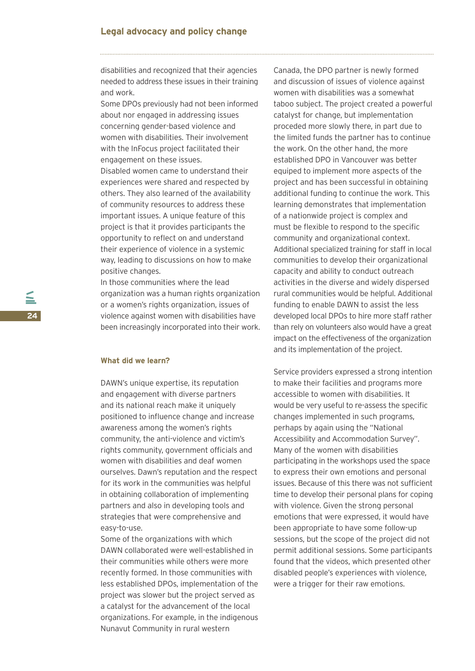disabilities and recognized that their agencies needed to address these issues in their training and work.

Some DPOs previously had not been informed about nor engaged in addressing issues concerning gender-based violence and women with disabilities. Their involvement with the InFocus project facilitated their engagement on these issues.

Disabled women came to understand their experiences were shared and respected by others. They also learned of the availability of community resources to address these important issues. A unique feature of this project is that it provides participants the opportunity to reflect on and understand their experience of violence in a systemic way, leading to discussions on how to make positive changes.

In those communities where the lead organization was a human rights organization or a women's rights organization, issues of violence against women with disabilities have been increasingly incorporated into their work.

### **What did we learn?**

DAWN's unique expertise, its reputation and engagement with diverse partners and its national reach make it uniquely positioned to influence change and increase awareness among the women's rights community, the anti-violence and victim's rights community, government officials and women with disabilities and deaf women ourselves. Dawn's reputation and the respect for its work in the communities was helpful in obtaining collaboration of implementing partners and also in developing tools and strategies that were comprehensive and easy-to-use.

Some of the organizations with which DAWN collaborated were well-established in their communities while others were more recently formed. In those communities with less established DPOs, implementation of the project was slower but the project served as a catalyst for the advancement of the local organizations. For example, in the indigenous Nunavut Community in rural western

Canada, the DPO partner is newly formed and discussion of issues of violence against women with disabilities was a somewhat taboo subject. The project created a powerful catalyst for change, but implementation proceded more slowly there, in part due to the limited funds the partner has to continue the work. On the other hand, the more established DPO in Vancouver was better equiped to implement more aspects of the project and has been successful in obtaining additional funding to continue the work. This learning demonstrates that implementation of a nationwide project is complex and must be flexible to respond to the specific community and organizational context. Additional specialized training for staff in local communities to develop their organizational capacity and ability to conduct outreach activities in the diverse and widely dispersed rural communities would be helpful. Additional funding to enable DAWN to assist the less developed local DPOs to hire more staff rather than rely on volunteers also would have a great impact on the effectiveness of the organization and its implementation of the project.

Service providers expressed a strong intention to make their facilities and programs more accessible to women with disabilities. It would be very useful to re-assess the specific changes implemented in such programs, perhaps by again using the "National Accessibility and Accommodation Survey". Many of the women with disabilities participating in the workshops used the space to express their own emotions and personal issues. Because of this there was not sufficient time to develop their personal plans for coping with violence. Given the strong personal emotions that were expressed, it would have been appropriate to have some follow-up sessions, but the scope of the project did not permit additional sessions. Some participants found that the videos, which presented other disabled people's experiences with violence, were a trigger for their raw emotions.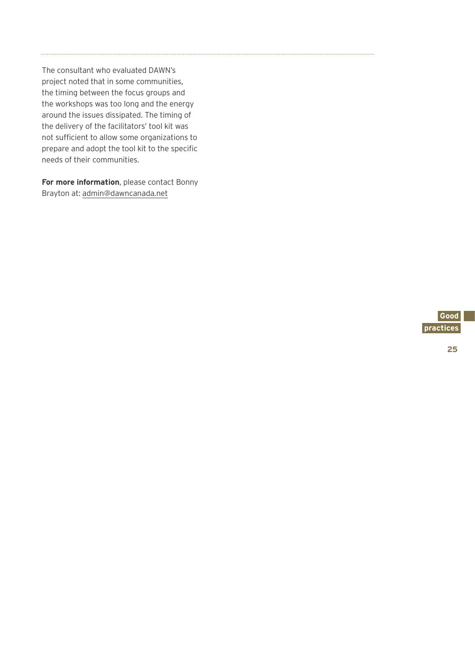The consultant who evaluated DAWN's project noted that in some communities, the timing between the focus groups and the workshops was too long and the energy around the issues dissipated. The timing of the delivery of the facilitators' tool kit was not sufficient to allow some organizations to prepare and adopt the tool kit to the specific needs of their communities.

**For more information**, please contact Bonny Brayton at: admin@dawncanada.net



**25**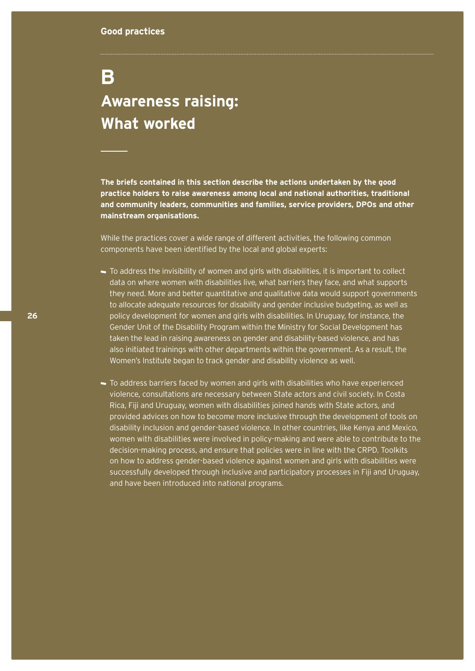# **B**

## **Awareness raising: What worked**

**The briefs contained in this section describe the actions undertaken by the good practice holders to raise awareness among local and national authorities, traditional and community leaders, communities and families, service providers, DPOs and other mainstream organisations.**

While the practices cover a wide range of different activities, the following common components have been identified by the local and global experts:

- To address the invisibility of women and girls with disabilities, it is important to collect data on where women with disabilities live, what barriers they face, and what supports they need. More and better quantitative and qualitative data would support governments to allocate adequate resources for disability and gender inclusive budgeting, as well as policy development for women and girls with disabilities. In Uruguay, for instance, the Gender Unit of the Disability Program within the Ministry for Social Development has taken the lead in raising awareness on gender and disability-based violence, and has also initiated trainings with other departments within the government. As a result, the Women's Institute began to track gender and disability violence as well.
- To address barriers faced by women and girls with disabilities who have experienced violence, consultations are necessary between State actors and civil society. In Costa Rica, Fiji and Uruguay, women with disabilities joined hands with State actors, and provided advices on how to become more inclusive through the development of tools on disability inclusion and gender-based violence. In other countries, like Kenya and Mexico, women with disabilities were involved in policy-making and were able to contribute to the decision-making process, and ensure that policies were in line with the CRPD. Toolkits on how to address gender-based violence against women and girls with disabilities were successfully developed through inclusive and participatory processes in Fiji and Uruguay, and have been introduced into national programs.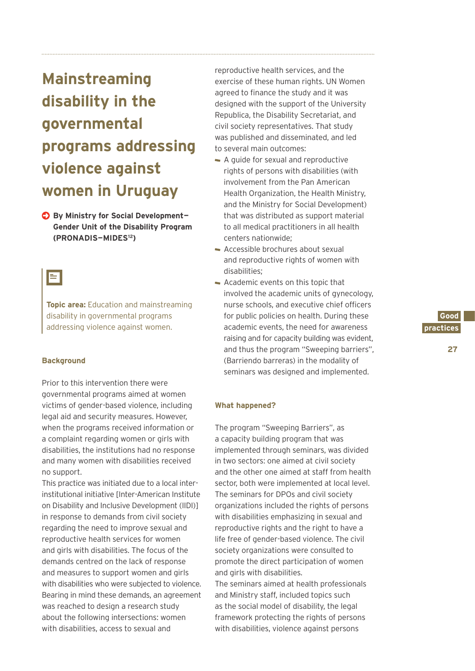**Mainstreaming disability in the governmental programs addressing violence against women in Uruguay**

**By Ministry for Social Development-Gender Unit of the Disability Program (PRONADIS—MIDES12)**

### Ξ

**Topic area:** Education and mainstreaming disability in governmental programs addressing violence against women.

### **Background**

Prior to this intervention there were governmental programs aimed at women victims of gender-based violence, including legal aid and security measures. However, when the programs received information or a complaint regarding women or girls with disabilities, the institutions had no response and many women with disabilities received no support.

This practice was initiated due to a local interinstitutional initiative [Inter-American Institute on Disability and Inclusive Development (IIDI)] in response to demands from civil society regarding the need to improve sexual and reproductive health services for women and girls with disabilities. The focus of the demands centred on the lack of response and measures to support women and girls with disabilities who were subjected to violence. Bearing in mind these demands, an agreement was reached to design a research study about the following intersections: women with disabilities, access to sexual and

reproductive health services, and the exercise of these human rights. UN Women agreed to finance the study and it was designed with the support of the University Republica, the Disability Secretariat, and civil society representatives. That study was published and disseminated, and led to several main outcomes:

- A guide for sexual and reproductive rights of persons with disabilities (with involvement from the Pan American Health Organization, the Health Ministry, and the Ministry for Social Development) that was distributed as support material to all medical practitioners in all health centers nationwide;
- Accessible brochures about sexual and reproductive rights of women with disabilities;
- Academic events on this topic that involved the academic units of gynecology, nurse schools, and executive chief officers for public policies on health. During these academic events, the need for awareness raising and for capacity building was evident, and thus the program "Sweeping barriers", (Barriendo barreras) in the modality of seminars was designed and implemented.

### **What happened?**

The program "Sweeping Barriers", as a capacity building program that was implemented through seminars, was divided in two sectors: one aimed at civil society and the other one aimed at staff from health sector, both were implemented at local level. The seminars for DPOs and civil society organizations included the rights of persons with disabilities emphasizing in sexual and reproductive rights and the right to have a life free of gender-based violence. The civil society organizations were consulted to promote the direct participation of women and girls with disabilities.

The seminars aimed at health professionals and Ministry staff, included topics such as the social model of disability, the legal framework protecting the rights of persons with disabilities, violence against persons

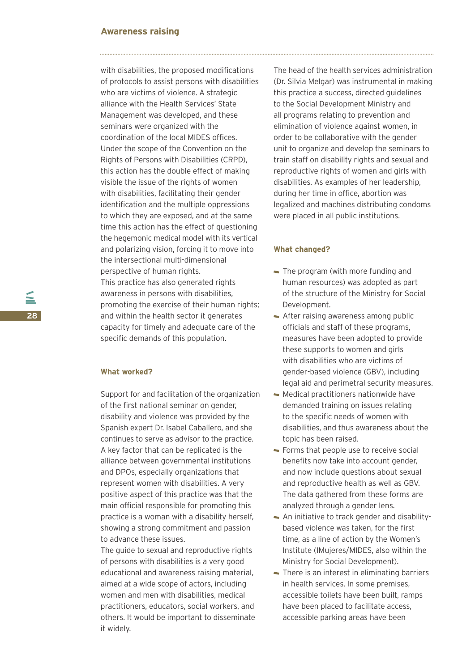### **Awareness raising**

with disabilities, the proposed modifications of protocols to assist persons with disabilities who are victims of violence. A strategic alliance with the Health Services' State Management was developed, and these seminars were organized with the coordination of the local MIDES offices. Under the scope of the Convention on the Rights of Persons with Disabilities (CRPD), this action has the double effect of making visible the issue of the rights of women with disabilities, facilitating their gender identification and the multiple oppressions to which they are exposed, and at the same time this action has the effect of questioning the hegemonic medical model with its vertical and polarizing vision, forcing it to move into the intersectional multi-dimensional perspective of human rights. This practice has also generated rights awareness in persons with disabilities, promoting the exercise of their human rights; and within the health sector it generates capacity for timely and adequate care of the specific demands of this population.

### **What worked?**

Support for and facilitation of the organization of the first national seminar on gender, disability and violence was provided by the Spanish expert Dr. Isabel Caballero, and she continues to serve as advisor to the practice. A key factor that can be replicated is the alliance between governmental institutions and DPOs, especially organizations that represent women with disabilities. A very positive aspect of this practice was that the main official responsible for promoting this practice is a woman with a disability herself, showing a strong commitment and passion to advance these issues.

The guide to sexual and reproductive rights of persons with disabilities is a very good educational and awareness raising material, aimed at a wide scope of actors, including women and men with disabilities, medical practitioners, educators, social workers, and others. It would be important to disseminate it widely.

The head of the health services administration (Dr. Silvia Melgar) was instrumental in making this practice a success, directed guidelines to the Social Development Ministry and all programs relating to prevention and elimination of violence against women, in order to be collaborative with the gender unit to organize and develop the seminars to train staff on disability rights and sexual and reproductive rights of women and girls with disabilities. As examples of her leadership, during her time in office, abortion was legalized and machines distributing condoms were placed in all public institutions.

### **What changed?**

- The program (with more funding and human resources) was adopted as part of the structure of the Ministry for Social Development.
- After raising awareness among public officials and staff of these programs, measures have been adopted to provide these supports to women and girls with disabilities who are victims of gender-based violence (GBV), including legal aid and perimetral security measures.
- Medical practitioners nationwide have demanded training on issues relating to the specific needs of women with disabilities, and thus awareness about the topic has been raised.
- Forms that people use to receive social benefits now take into account gender, and now include questions about sexual and reproductive health as well as GBV. The data gathered from these forms are analyzed through a gender lens.
- An initiative to track gender and disabilitybased violence was taken, for the first time, as a line of action by the Women's Institute (IMujeres/MIDES, also within the Ministry for Social Development).
- There is an interest in eliminating barriers in health services. In some premises, accessible toilets have been built, ramps have been placed to facilitate access, accessible parking areas have been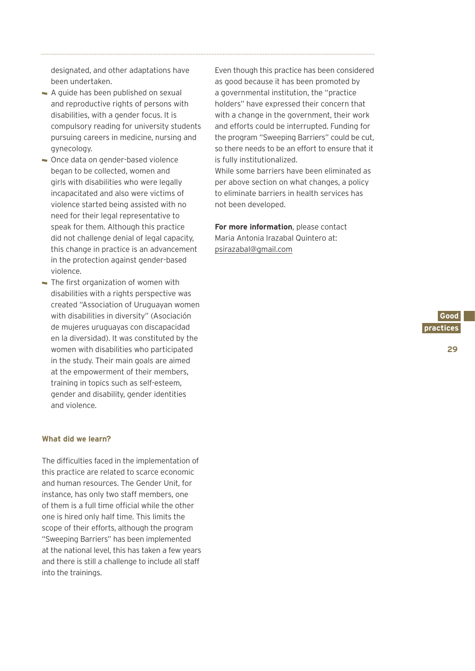designated, and other adaptations have been undertaken.

- A guide has been published on sexual and reproductive rights of persons with disabilities, with a gender focus. It is compulsory reading for university students pursuing careers in medicine, nursing and gynecology.
- Once data on gender-based violence began to be collected, women and girls with disabilities who were legally incapacitated and also were victims of violence started being assisted with no need for their legal representative to speak for them. Although this practice did not challenge denial of legal capacity, this change in practice is an advancement in the protection against gender-based violence.
- The first organization of women with disabilities with a rights perspective was created "Association of Uruguayan women with disabilities in diversity" (Asociación de mujeres uruguayas con discapacidad en la diversidad). It was constituted by the women with disabilities who participated in the study. Their main goals are aimed at the empowerment of their members, training in topics such as self-esteem, gender and disability, gender identities and violence.

### **What did we learn?**

The difficulties faced in the implementation of this practice are related to scarce economic and human resources. The Gender Unit, for instance, has only two staff members, one of them is a full time official while the other one is hired only half time. This limits the scope of their efforts, although the program "Sweeping Barriers" has been implemented at the national level, this has taken a few years and there is still a challenge to include all staff into the trainings.

Even though this practice has been considered as good because it has been promoted by a governmental institution, the "practice holders" have expressed their concern that with a change in the government, their work and efforts could be interrupted. Funding for the program "Sweeping Barriers" could be cut, so there needs to be an effort to ensure that it is fully institutionalized.

While some barriers have been eliminated as per above section on what changes, a policy to eliminate barriers in health services has not been developed.

**For more information**, please contact Maria Antonia Irazabal Quintero at: psirazabal@gmail.com



**29**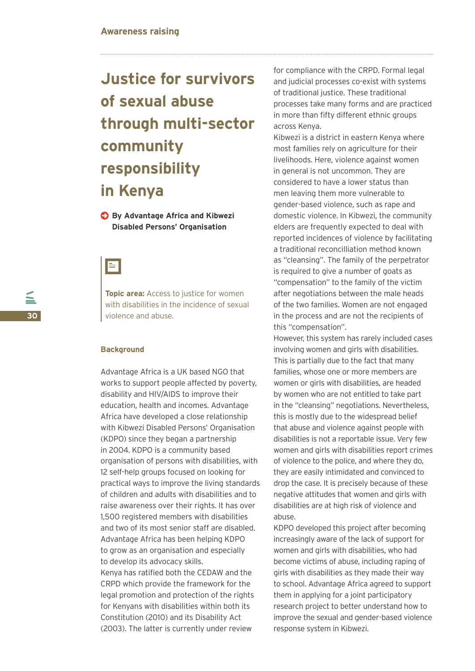# **Justice for survivors of sexual abuse through multi-sector community responsibility in Kenya**

**C** By Advantage Africa and Kibwezi **Disabled Persons' Organisation**



**Topic area:** Access to justice for women with disabilities in the incidence of sexual violence and abuse.

### **Background**

Advantage Africa is a UK based NGO that works to support people affected by poverty, disability and HIV/AIDS to improve their education, health and incomes. Advantage Africa have developed a close relationship with Kibwezi Disabled Persons' Organisation (KDPO) since they began a partnership in 2004. KDPO is a community based organisation of persons with disabilities, with 12 self-help groups focused on looking for practical ways to improve the living standards of children and adults with disabilities and to raise awareness over their rights. It has over 1,500 registered members with disabilities and two of its most senior staff are disabled. Advantage Africa has been helping KDPO to grow as an organisation and especially to develop its advocacy skills. Kenya has ratified both the CEDAW and the CRPD which provide the framework for the legal promotion and protection of the rights for Kenyans with disabilities within both its

Constitution (2010) and its Disability Act (2003). The latter is currently under review

for compliance with the CRPD. Formal legal and judicial processes co-exist with systems of traditional justice. These traditional processes take many forms and are practiced in more than fifty different ethnic groups across Kenya.

Kibwezi is a district in eastern Kenya where most families rely on agriculture for their livelihoods. Here, violence against women in general is not uncommon. They are considered to have a lower status than men leaving them more vulnerable to gender-based violence, such as rape and domestic violence. In Kibwezi, the community elders are frequently expected to deal with reported incidences of violence by facilitating a traditional reconcilliation method known as "cleansing". The family of the perpetrator is required to give a number of goats as "compensation" to the family of the victim after negotiations between the male heads of the two families. Women are not engaged in the process and are not the recipients of this "compensation".

However, this system has rarely included cases involving women and girls with disabilities. This is partially due to the fact that many families, whose one or more members are women or girls with disabilities, are headed by women who are not entitled to take part in the "cleansing" negotiations. Nevertheless, this is mostly due to the widespread belief that abuse and violence against people with disabilities is not a reportable issue. Very few women and girls with disabilities report crimes of violence to the police, and where they do, they are easily intimidated and convinced to drop the case. It is precisely because of these negative attitudes that women and girls with disabilities are at high risk of violence and abuse.

KDPO developed this project after becoming increasingly aware of the lack of support for women and girls with disabilities, who had become victims of abuse, including raping of girls with disabilities as they made their way to school. Advantage Africa agreed to support them in applying for a joint participatory research project to better understand how to improve the sexual and gender-based violence response system in Kibwezi.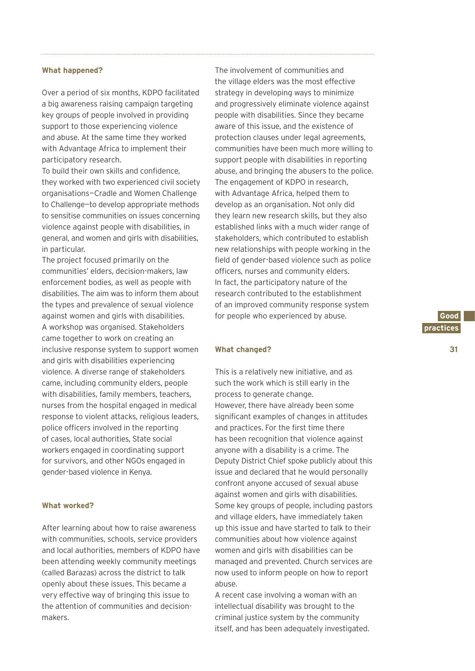#### **What happened?**

Over a period of six months, KDPO facilitated a big awareness raising campaign targeting key groups of people involved in providing support to those experiencing violence and abuse. At the same time they worked with Advantage Africa to implement their participatory research.

To build their own skills and confidence, they worked with two experienced civil society organisations—Cradle and Women Challenge to Challenge—to develop appropriate methods to sensitise communities on issues concerning violence against people with disabilities, in general, and women and girls with disabilities, in particular.

The project focused primarily on the communities' elders, decision-makers, law enforcement bodies, as well as people with disabilities. The aim was to inform them about the types and prevalence of sexual violence against women and girls with disabilities. A workshop was organised. Stakeholders came together to work on creating an inclusive response system to support women and girls with disabilities experiencing violence. A diverse range of stakeholders came, including community elders, people with disabilities, family members, teachers, nurses from the hospital engaged in medical response to violent attacks, religious leaders, police officers involved in the reporting of cases, local authorities, State social workers engaged in coordinating support for survivors, and other NGOs engaged in gender-based violence in Kenya.

### **What worked?**

After learning about how to raise awareness with communities, schools, service providers and local authorities, members of KDPO have been attending weekly community meetings (called Barazas) across the district to talk openly about these issues. This became a very effective way of bringing this issue to the attention of communities and decisionmakers.

The involvement of communities and the village elders was the most effective strategy in developing ways to minimize and progressively eliminate violence against people with disabilities. Since they became aware of this issue, and the existence of protection clauses under legal agreements, communities have been much more willing to support people with disabilities in reporting abuse, and bringing the abusers to the police. The engagement of KDPO in research, with Advantage Africa, helped them to develop as an organisation. Not only did they learn new research skills, but they also established links with a much wider range of stakeholders, which contributed to establish new relationships with people working in the field of gender-based violence such as police officers, nurses and community elders. In fact, the participatory nature of the research contributed to the establishment of an improved community response system for people who experienced by abuse.

#### **What changed?**

This is a relatively new initiative, and as such the work which is still early in the process to generate change. However, there have already been some significant examples of changes in attitudes and practices. For the first time there has been recognition that violence against anyone with a disability is a crime. The Deputy District Chief spoke publicly about this issue and declared that he would personally confront anyone accused of sexual abuse against women and girls with disabilities. Some key groups of people, including pastors and village elders, have immediately taken up this issue and have started to talk to their communities about how violence against women and girls with disabilities can be managed and prevented. Church services are now used to inform people on how to report abuse.

A recent case involving a woman with an intellectual disability was brought to the criminal justice system by the community itself, and has been adequately investigated. **31**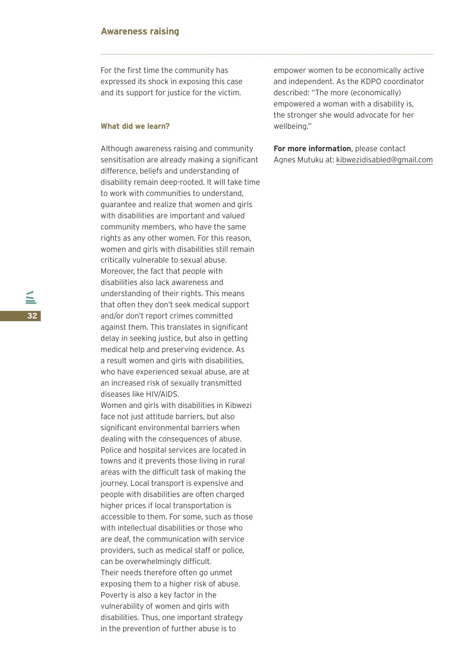### **Awareness raising**

For the first time the community has expressed its shock in exposing this case and its support for justice for the victim.

### **What did we learn?**

Although awareness raising and community sensitisation are already making a significant difference, beliefs and understanding of disability remain deep-rooted. It will take time to work with communities to understand, guarantee and realize that women and girls with disabilities are important and valued community members, who have the same rights as any other women. For this reason, women and girls with disabilities still remain critically vulnerable to sexual abuse. Moreover, the fact that people with disabilities also lack awareness and understanding of their rights. This means that often they don't seek medical support and/or don't report crimes committed against them. This translates in significant delay in seeking justice, but also in getting medical help and preserving evidence. As a result women and girls with disabilities, who have experienced sexual abuse, are at an increased risk of sexually transmitted diseases like HIV/AIDS.

Women and girls with disabilities in Kibwezi face not just attitude barriers, but also significant environmental barriers when dealing with the consequences of abuse. Police and hospital services are located in towns and it prevents those living in rural areas with the difficult task of making the journey. Local transport is expensive and people with disabilities are often charged higher prices if local transportation is accessible to them. For some, such as those with intellectual disabilities or those who are deaf, the communication with service providers, such as medical staff or police, can be overwhelmingly difficult. Their needs therefore often go unmet exposing them to a higher risk of abuse. Poverty is also a key factor in the vulnerability of women and girls with disabilities. Thus, one important strategy in the prevention of further abuse is to

empower women to be economically active and independent. As the KDPO coordinator described: "The more (economically) empowered a woman with a disability is, the stronger she would advocate for her wellbeing."

**For more information**, please contact Agnes Mutuku at: kibwezidisabled@gmail.com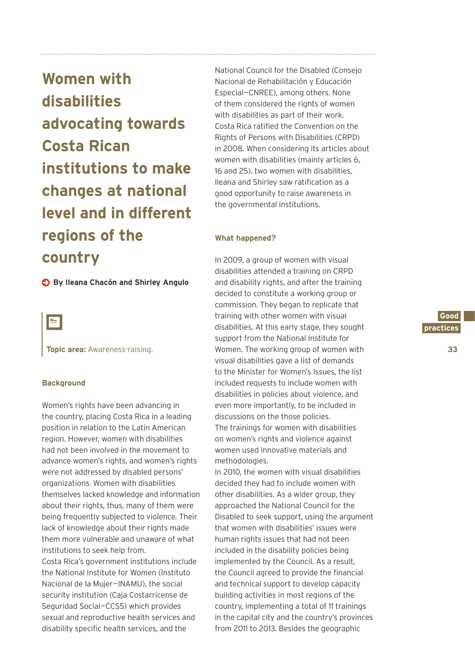**Women with disabilities advocating towards Costa Rican institutions to make changes at national level and in different regions of the country**

**By Ileana Chacón and Shirley Angulo**

 $=$ 

**Topic area:** Awareness-raising.

### **Background**

Women's rights have been advancing in the country, placing Costa Rica in a leading position in relation to the Latin American region. However, women with disabilities had not been involved in the movement to advance women's rights, and women's rights were not addressed by disabled persons' organizations. Women with disabilities themselves lacked knowledge and information about their rights, thus, many of them were being frequently subjected to violence. Their lack of knowledge about their rights made them more vulnerable and unaware of what institutions to seek help from. Costa Rica's government institutions include the National Institute for Women (Instituto Nacional de la Mujer—INAMU), the social security institution (Caja Costarricense de Seguridad Social—CCSS) which provides sexual and reproductive health services and disability specific health services, and the

National Council for the Disabled (Consejo Nacional de Rehabilitación y Educación Especial—CNREE), among others. None of them considered the rights of women with disabilities as part of their work. Costa Rica ratified the Convention on the Rights of Persons with Disabilities (CRPD) in 2008. When considering its articles about women with disabilities (mainly articles 6, 16 and 25), two women with disabilities, Ileana and Shirley saw ratification as a good opportunity to raise awareness in the governmental institutions.

### **What happened?**

In 2009, a group of women with visual disabilities attended a training on CRPD and disability rights, and after the training decided to constitute a working group or commission. They began to replicate that training with other women with visual disabilities. At this early stage, they sought support from the National Institute for Women. The working group of women with visual disabilities gave a list of demands to the Minister for Women's Issues, the list included requests to include women with disabilities in policies about violence, and even more importantly, to be included in discussions on the those policies. The trainings for women with disabilities on women's rights and violence against women used innovative materials and methodologies.

In 2010, the women with visual disabilities decided they had to include women with other disabilities. As a wider group, they approached the National Council for the Disabled to seek support, using the argument that women with disabilities' issues were human rights issues that had not been included in the disability policies being implemented by the Council. As a result, the Council agreed to provide the financial and technical support to develop capacity building activities in most regions of the country, implementing a total of 11 trainings in the capital city and the country's provinces from 2011 to 2013. Besides the geographic

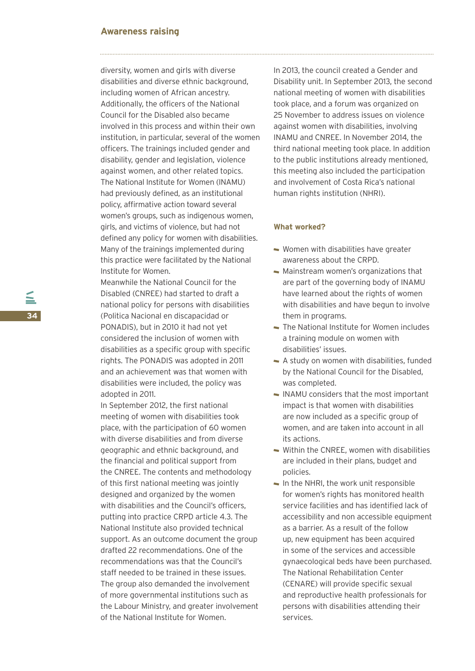### **Awareness raising**

diversity, women and girls with diverse disabilities and diverse ethnic background, including women of African ancestry. Additionally, the officers of the National Council for the Disabled also became involved in this process and within their own institution, in particular, several of the women officers. The trainings included gender and disability, gender and legislation, violence against women, and other related topics. The National Institute for Women (INAMU) had previously defined, as an institutional policy, affirmative action toward several women's groups, such as indigenous women, girls, and victims of violence, but had not defined any policy for women with disabilities. Many of the trainings implemented during this practice were facilitated by the National Institute for Women.

Meanwhile the National Council for the Disabled (CNREE) had started to draft a national policy for persons with disabilities (Politica Nacional en discapacidad or PONADIS), but in 2010 it had not yet considered the inclusion of women with disabilities as a specific group with specific rights. The PONADIS was adopted in 2011 and an achievement was that women with disabilities were included, the policy was adopted in 2011.

In September 2012, the first national meeting of women with disabilities took place, with the participation of 60 women with diverse disabilities and from diverse geographic and ethnic background, and the financial and political support from the CNREE. The contents and methodology of this first national meeting was jointly designed and organized by the women with disabilities and the Council's officers, putting into practice CRPD article 4.3. The National Institute also provided technical support. As an outcome document the group drafted 22 recommendations. One of the recommendations was that the Council's staff needed to be trained in these issues. The group also demanded the involvement of more governmental institutions such as the Labour Ministry, and greater involvement of the National Institute for Women.

In 2013, the council created a Gender and Disability unit. In September 2013, the second national meeting of women with disabilities took place, and a forum was organized on 25 November to address issues on violence against women with disabilities, involving INAMU and CNREE. In November 2014, the third national meeting took place. In addition to the public institutions already mentioned, this meeting also included the participation and involvement of Costa Rica's national human rights institution (NHRI).

### **What worked?**

- Women with disabilities have greater awareness about the CRPD.
- Mainstream women's organizations that are part of the governing body of INAMU have learned about the rights of women with disabilities and have begun to involve them in programs.
- The National Institute for Women includes a training module on women with disabilities' issues.
- A study on women with disabilities, funded by the National Council for the Disabled, was completed.
- $\sim$  INAMU considers that the most important impact is that women with disabilities are now included as a specific group of women, and are taken into account in all its actions.
- Within the CNREE, women with disabilities are included in their plans, budget and policies.
- $\blacksquare$  In the NHRI, the work unit responsible for women's rights has monitored health service facilities and has identified lack of accessibility and non accessible equipment as a barrier. As a result of the follow up, new equipment has been acquired in some of the services and accessible gynaecological beds have been purchased. The National Rehabilitation Center (CENARE) will provide specific sexual and reproductive health professionals for persons with disabilities attending their services.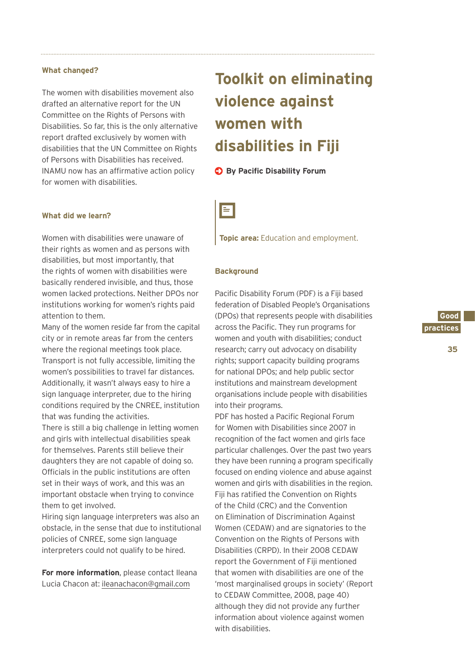#### **What changed?**

The women with disabilities movement also drafted an alternative report for the UN Committee on the Rights of Persons with Disabilities. So far, this is the only alternative report drafted exclusively by women with disabilities that the UN Committee on Rights of Persons with Disabilities has received. INAMU now has an affirmative action policy for women with disabilities.

### **What did we learn?**

Women with disabilities were unaware of their rights as women and as persons with disabilities, but most importantly, that the rights of women with disabilities were basically rendered invisible, and thus, those women lacked protections. Neither DPOs nor institutions working for women's rights paid attention to them.

Many of the women reside far from the capital city or in remote areas far from the centers where the regional meetings took place. Transport is not fully accessible, limiting the women's possibilities to travel far distances. Additionally, it wasn't always easy to hire a sign language interpreter, due to the hiring conditions required by the CNREE, institution that was funding the activities.

There is still a big challenge in letting women and girls with intellectual disabilities speak for themselves. Parents still believe their daughters they are not capable of doing so. Officials in the public institutions are often set in their ways of work, and this was an important obstacle when trying to convince them to get involved.

Hiring sign language interpreters was also an obstacle, in the sense that due to institutional policies of CNREE, some sign language interpreters could not qualify to be hired.

**For more information**, please contact Ileana Lucia Chacon at: ileanachacon@gmail.com

# **Toolkit on eliminating violence against women with disabilities in Fiji**

### **By Pacific Disability Forum**



**Topic area:** Education and employment.

### **Background**

Pacific Disability Forum (PDF) is a Fiji based federation of Disabled People's Organisations (DPOs) that represents people with disabilities across the Pacific. They run programs for women and youth with disabilities; conduct research; carry out advocacy on disability rights; support capacity building programs for national DPOs; and help public sector institutions and mainstream development organisations include people with disabilities into their programs.

PDF has hosted a Pacific Regional Forum for Women with Disabilities since 2007 in recognition of the fact women and girls face particular challenges. Over the past two years they have been running a program specifically focused on ending violence and abuse against women and girls with disabilities in the region. Fiji has ratified the Convention on Rights of the Child (CRC) and the Convention on Elimination of Discrimination Against Women (CEDAW) and are signatories to the Convention on the Rights of Persons with Disabilities (CRPD). In their 2008 CEDAW report the Government of Fiji mentioned that women with disabilities are one of the 'most marginalised groups in society' (Report to CEDAW Committee, 2008, page 40) although they did not provide any further information about violence against women with disabilities.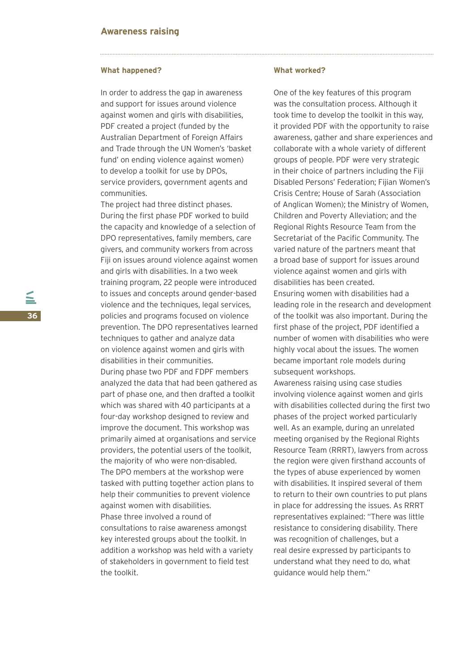#### **What happened?**

In order to address the gap in awareness and support for issues around violence against women and girls with disabilities, PDF created a project (funded by the Australian Department of Foreign Affairs and Trade through the UN Women's 'basket fund' on ending violence against women) to develop a toolkit for use by DPOs, service providers, government agents and communities.

The project had three distinct phases. During the first phase PDF worked to build the capacity and knowledge of a selection of DPO representatives, family members, care givers, and community workers from across Fiji on issues around violence against women and girls with disabilities. In a two week training program, 22 people were introduced to issues and concepts around gender-based violence and the techniques, legal services, policies and programs focused on violence prevention. The DPO representatives learned techniques to gather and analyze data on violence against women and girls with disabilities in their communities. During phase two PDF and FDPF members analyzed the data that had been gathered as part of phase one, and then drafted a toolkit which was shared with 40 participants at a

four-day workshop designed to review and improve the document. This workshop was primarily aimed at organisations and service providers, the potential users of the toolkit, the majority of who were non-disabled. The DPO members at the workshop were tasked with putting together action plans to help their communities to prevent violence against women with disabilities. Phase three involved a round of consultations to raise awareness amongst key interested groups about the toolkit. In addition a workshop was held with a variety of stakeholders in government to field test the toolkit.

#### **What worked?**

One of the key features of this program was the consultation process. Although it took time to develop the toolkit in this way, it provided PDF with the opportunity to raise awareness, gather and share experiences and collaborate with a whole variety of different groups of people. PDF were very strategic in their choice of partners including the Fiji Disabled Persons' Federation; Fijian Women's Crisis Centre; House of Sarah (Association of Anglican Women); the Ministry of Women, Children and Poverty Alleviation; and the Regional Rights Resource Team from the Secretariat of the Pacific Community. The varied nature of the partners meant that a broad base of support for issues around violence against women and girls with disabilities has been created.

Ensuring women with disabilities had a leading role in the research and development of the toolkit was also important. During the first phase of the project, PDF identified a number of women with disabilities who were highly vocal about the issues. The women became important role models during subsequent workshops.

Awareness raising using case studies involving violence against women and girls with disabilities collected during the first two phases of the project worked particularly well. As an example, during an unrelated meeting organised by the Regional Rights Resource Team (RRRT), lawyers from across the region were given firsthand accounts of the types of abuse experienced by women with disabilities. It inspired several of them to return to their own countries to put plans in place for addressing the issues. As RRRT representatives explained: "There was little resistance to considering disability. There was recognition of challenges, but a real desire expressed by participants to understand what they need to do, what guidance would help them."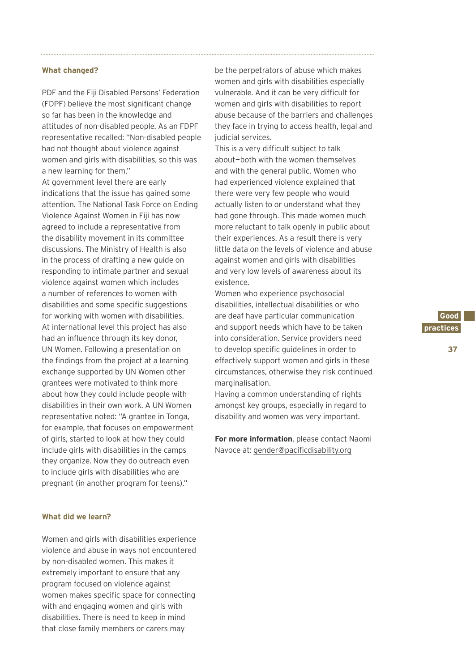#### **What changed?**

PDF and the Fiji Disabled Persons' Federation (FDPF) believe the most significant change so far has been in the knowledge and attitudes of non-disabled people. As an FDPF representative recalled: "Non-disabled people had not thought about violence against women and girls with disabilities, so this was a new learning for them."

At government level there are early indications that the issue has gained some attention. The National Task Force on Ending Violence Against Women in Fiji has now agreed to include a representative from the disability movement in its committee discussions. The Ministry of Health is also in the process of drafting a new guide on responding to intimate partner and sexual violence against women which includes a number of references to women with disabilities and some specific suggestions for working with women with disabilities. At international level this project has also had an influence through its key donor, UN Women. Following a presentation on the findings from the project at a learning exchange supported by UN Women other grantees were motivated to think more about how they could include people with disabilities in their own work. A UN Women representative noted: "A grantee in Tonga, for example, that focuses on empowerment of girls, started to look at how they could include girls with disabilities in the camps they organize. Now they do outreach even to include girls with disabilities who are pregnant (in another program for teens)."

### **What did we learn?**

Women and girls with disabilities experience violence and abuse in ways not encountered by non-disabled women. This makes it extremely important to ensure that any program focused on violence against women makes specific space for connecting with and engaging women and girls with disabilities. There is need to keep in mind that close family members or carers may

be the perpetrators of abuse which makes women and girls with disabilities especially vulnerable. And it can be very difficult for women and girls with disabilities to report abuse because of the barriers and challenges they face in trying to access health, legal and judicial services.

This is a very difficult subject to talk about—both with the women themselves and with the general public. Women who had experienced violence explained that there were very few people who would actually listen to or understand what they had gone through. This made women much more reluctant to talk openly in public about their experiences. As a result there is very little data on the levels of violence and abuse against women and girls with disabilities and very low levels of awareness about its existence.

Women who experience psychosocial disabilities, intellectual disabilities or who are deaf have particular communication and support needs which have to be taken into consideration. Service providers need to develop specific guidelines in order to effectively support women and girls in these circumstances, otherwise they risk continued marginalisation.

Having a common understanding of rights amongst key groups, especially in regard to disability and women was very important.

**For more information**, please contact Naomi Navoce at: gender@pacificdisability.org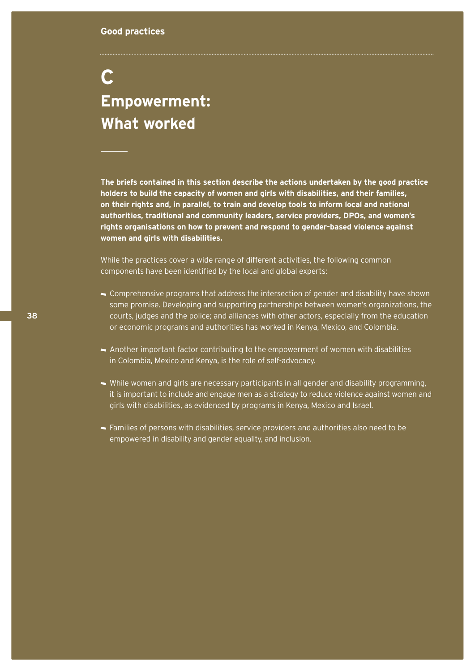# **C Empowerment: What worked**

**The briefs contained in this section describe the actions undertaken by the good practice holders to build the capacity of women and girls with disabilities, and their families, on their rights and, in parallel, to train and develop tools to inform local and national authorities, traditional and community leaders, service providers, DPOs, and women's rights organisations on how to prevent and respond to gender-based violence against women and girls with disabilities.** 

While the practices cover a wide range of different activities, the following common components have been identified by the local and global experts:

- Comprehensive programs that address the intersection of gender and disability have shown some promise. Developing and supporting partnerships between women's organizations, the courts, judges and the police; and alliances with other actors, especially from the education or economic programs and authorities has worked in Kenya, Mexico, and Colombia.
- Another important factor contributing to the empowerment of women with disabilities in Colombia, Mexico and Kenya, is the role of self-advocacy.
- While women and girls are necessary participants in all gender and disability programming, it is important to include and engage men as a strategy to reduce violence against women and girls with disabilities, as evidenced by programs in Kenya, Mexico and Israel.
- Families of persons with disabilities, service providers and authorities also need to be empowered in disability and gender equality, and inclusion.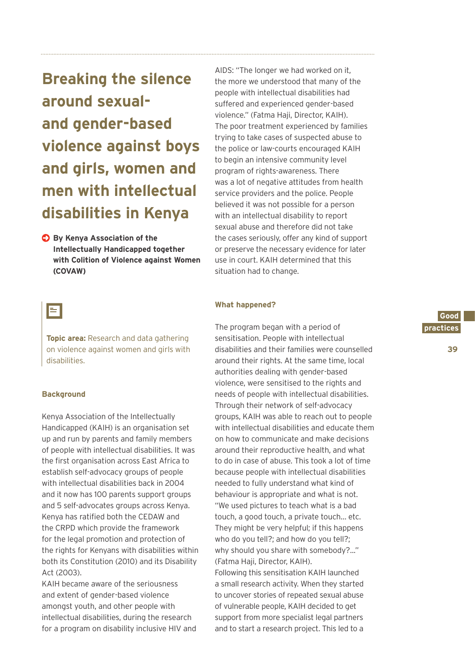**Breaking the silence around sexualand gender-based violence against boys and girls, women and men with intellectual disabilities in Kenya**

**By Kenya Association of the Intellectually Handicapped together with Colition of Violence against Women (COVAW)**

### E

**Topic area:** Research and data gathering on violence against women and girls with disabilities.

### **Background**

Kenya Association of the Intellectually Handicapped (KAIH) is an organisation set up and run by parents and family members of people with intellectual disabilities. It was the first organisation across East Africa to establish self-advocacy groups of people with intellectual disabilities back in 2004 and it now has 100 parents support groups and 5 self-advocates groups across Kenya. Kenya has ratified both the CEDAW and the CRPD which provide the framework for the legal promotion and protection of the rights for Kenyans with disabilities within both its Constitution (2010) and its Disability Act (2003).

KAIH became aware of the seriousness and extent of gender-based violence amongst youth, and other people with intellectual disabilities, during the research for a program on disability inclusive HIV and

AIDS: "The longer we had worked on it, the more we understood that many of the people with intellectual disabilities had suffered and experienced gender-based violence." (Fatma Haji, Director, KAIH). The poor treatment experienced by families trying to take cases of suspected abuse to the police or law-courts encouraged KAIH to begin an intensive community level program of rights-awareness. There was a lot of negative attitudes from health service providers and the police. People believed it was not possible for a person with an intellectual disability to report sexual abuse and therefore did not take the cases seriously, offer any kind of support or preserve the necessary evidence for later use in court. KAIH determined that this situation had to change.

### **What happened?**

The program began with a period of sensitisation. People with intellectual disabilities and their families were counselled around their rights. At the same time, local authorities dealing with gender-based violence, were sensitised to the rights and needs of people with intellectual disabilities. Through their network of self-advocacy groups, KAIH was able to reach out to people with intellectual disabilities and educate them on how to communicate and make decisions around their reproductive health, and what to do in case of abuse. This took a lot of time because people with intellectual disabilities needed to fully understand what kind of behaviour is appropriate and what is not. "We used pictures to teach what is a bad touch, a good touch, a private touch… etc. They might be very helpful; if this happens who do you tell?; and how do you tell?; why should you share with somebody?..." (Fatma Haji, Director, KAIH).

Following this sensitisation KAIH launched a small research activity. When they started to uncover stories of repeated sexual abuse of vulnerable people, KAIH decided to get support from more specialist legal partners and to start a research project. This led to a

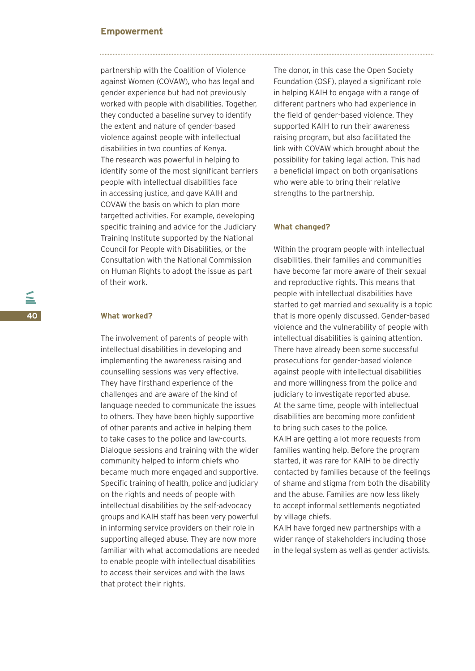### **Empowerment**

partnership with the Coalition of Violence against Women (COVAW), who has legal and gender experience but had not previously worked with people with disabilities. Together, they conducted a baseline survey to identify the extent and nature of gender-based violence against people with intellectual disabilities in two counties of Kenya. The research was powerful in helping to identify some of the most significant barriers people with intellectual disabilities face in accessing justice, and gave KAIH and COVAW the basis on which to plan more targetted activities. For example, developing specific training and advice for the Judiciary Training Institute supported by the National Council for People with Disabilities, or the Consultation with the National Commission on Human Rights to adopt the issue as part of their work.

### **What worked?**

The involvement of parents of people with intellectual disabilities in developing and implementing the awareness raising and counselling sessions was very effective. They have firsthand experience of the challenges and are aware of the kind of language needed to communicate the issues to others. They have been highly supportive of other parents and active in helping them to take cases to the police and law-courts. Dialogue sessions and training with the wider community helped to inform chiefs who became much more engaged and supportive. Specific training of health, police and judiciary on the rights and needs of people with intellectual disabilities by the self-advocacy groups and KAIH staff has been very powerful in informing service providers on their role in supporting alleged abuse. They are now more familiar with what accomodations are needed to enable people with intellectual disabilities to access their services and with the laws that protect their rights.

The donor, in this case the Open Society Foundation (OSF), played a significant role in helping KAIH to engage with a range of different partners who had experience in the field of gender-based violence. They supported KAIH to run their awareness raising program, but also facilitated the link with COVAW which brought about the possibility for taking legal action. This had a beneficial impact on both organisations who were able to bring their relative strengths to the partnership.

### **What changed?**

Within the program people with intellectual disabilities, their families and communities have become far more aware of their sexual and reproductive rights. This means that people with intellectual disabilities have started to get married and sexuality is a topic that is more openly discussed. Gender-based violence and the vulnerability of people with intellectual disabilities is gaining attention. There have already been some successful prosecutions for gender-based violence against people with intellectual disabilities and more willingness from the police and judiciary to investigate reported abuse. At the same time, people with intellectual disabilities are becoming more confident to bring such cases to the police. KAIH are getting a lot more requests from families wanting help. Before the program started, it was rare for KAIH to be directly contacted by families because of the feelings of shame and stigma from both the disability and the abuse. Families are now less likely to accept informal settlements negotiated by village chiefs.

KAIH have forged new partnerships with a wider range of stakeholders including those in the legal system as well as gender activists.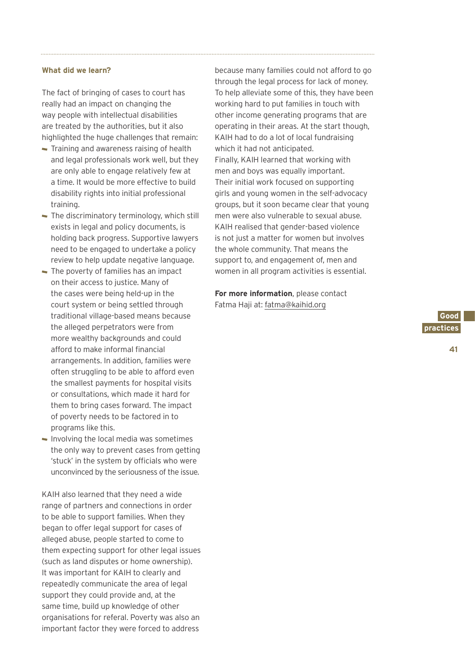### **What did we learn?**

The fact of bringing of cases to court has really had an impact on changing the way people with intellectual disabilities are treated by the authorities, but it also highlighted the huge challenges that remain:

- Training and awareness raising of health and legal professionals work well, but they are only able to engage relatively few at a time. It would be more effective to build disability rights into initial professional training.
- The discriminatory terminology, which still exists in legal and policy documents, is holding back progress. Supportive lawyers need to be engaged to undertake a policy review to help update negative language.
- The poverty of families has an impact on their access to justice. Many of the cases were being held-up in the court system or being settled through traditional village-based means because the alleged perpetrators were from more wealthy backgrounds and could afford to make informal financial arrangements. In addition, families were often struggling to be able to afford even the smallest payments for hospital visits or consultations, which made it hard for them to bring cases forward. The impact of poverty needs to be factored in to programs like this.
- $\blacksquare$  Involving the local media was sometimes the only way to prevent cases from getting 'stuck' in the system by officials who were unconvinced by the seriousness of the issue.

KAIH also learned that they need a wide range of partners and connections in order to be able to support families. When they began to offer legal support for cases of alleged abuse, people started to come to them expecting support for other legal issues (such as land disputes or home ownership). It was important for KAIH to clearly and repeatedly communicate the area of legal support they could provide and, at the same time, build up knowledge of other organisations for referal. Poverty was also an important factor they were forced to address

because many families could not afford to go through the legal process for lack of money. To help alleviate some of this, they have been working hard to put families in touch with other income generating programs that are operating in their areas. At the start though, KAIH had to do a lot of local fundraising which it had not anticipated. Finally, KAIH learned that working with men and boys was equally important. Their initial work focused on supporting girls and young women in the self-advocacy groups, but it soon became clear that young men were also vulnerable to sexual abuse. KAIH realised that gender-based violence is not just a matter for women but involves the whole community. That means the support to, and engagement of, men and women in all program activities is essential.

**For more information**, please contact Fatma Haji at: fatma@kaihid.org

> **Good. practices.**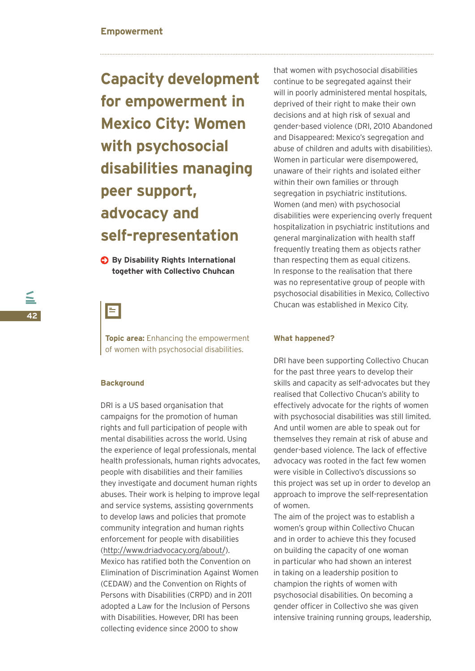# **Capacity development for empowerment in Mexico City: Women with psychosocial disabilities managing peer support, advocacy and self-representation**

**By Disability Rights International together with Collectivo Chuhcan**

### Е

**Topic area:** Enhancing the empowerment of women with psychosocial disabilities.

### **Background**

DRI is a US based organisation that campaigns for the promotion of human rights and full participation of people with mental disabilities across the world. Using the experience of legal professionals, mental health professionals, human rights advocates, people with disabilities and their families they investigate and document human rights abuses. Their work is helping to improve legal and service systems, assisting governments to develop laws and policies that promote community integration and human rights enforcement for people with disabilities (http://www.driadvocacy.org/about/). Mexico has ratified both the Convention on Elimination of Discrimination Against Women (CEDAW) and the Convention on Rights of Persons with Disabilities (CRPD) and in 2011 adopted a Law for the Inclusion of Persons with Disabilities. However, DRI has been collecting evidence since 2000 to show

that women with psychosocial disabilities continue to be segregated against their will in poorly administered mental hospitals, deprived of their right to make their own decisions and at high risk of sexual and gender-based violence (DRI, 2010 Abandoned and Disappeared: Mexico's segregation and abuse of children and adults with disabilities). Women in particular were disempowered, unaware of their rights and isolated either within their own families or through segregation in psychiatric institutions. Women (and men) with psychosocial disabilities were experiencing overly frequent hospitalization in psychiatric institutions and general marginalization with health staff frequently treating them as objects rather than respecting them as equal citizens. In response to the realisation that there was no representative group of people with psychosocial disabilities in Mexico, Collectivo Chucan was established in Mexico City.

### **What happened?**

DRI have been supporting Collectivo Chucan for the past three years to develop their skills and capacity as self-advocates but they realised that Collectivo Chucan's ability to effectively advocate for the rights of women with psychosocial disabilities was still limited. And until women are able to speak out for themselves they remain at risk of abuse and gender-based violence. The lack of effective advocacy was rooted in the fact few women were visible in Collectivo's discussions so this project was set up in order to develop an approach to improve the self-representation of women.

The aim of the project was to establish a women's group within Collectivo Chucan and in order to achieve this they focused on building the capacity of one woman in particular who had shown an interest in taking on a leadership position to champion the rights of women with psychosocial disabilities. On becoming a gender officer in Collectivo she was given intensive training running groups, leadership,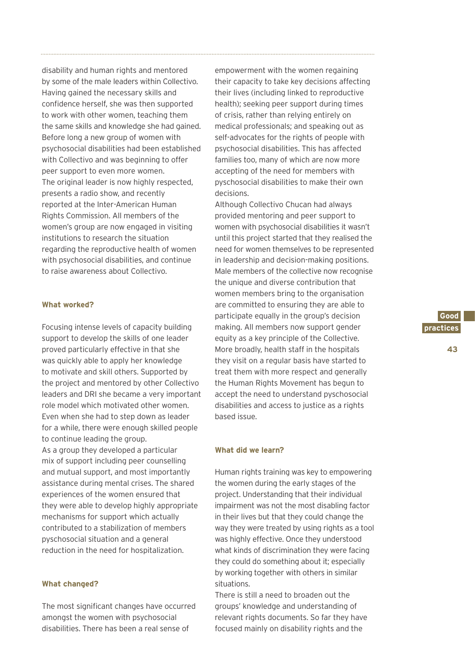disability and human rights and mentored by some of the male leaders within Collectivo. Having gained the necessary skills and confidence herself, she was then supported to work with other women, teaching them the same skills and knowledge she had gained. Before long a new group of women with psychosocial disabilities had been established with Collectivo and was beginning to offer peer support to even more women. The original leader is now highly respected, presents a radio show, and recently reported at the Inter-American Human Rights Commission. All members of the women's group are now engaged in visiting institutions to research the situation regarding the reproductive health of women with psychosocial disabilities, and continue to raise awareness about Collectivo.

### **What worked?**

Focusing intense levels of capacity building support to develop the skills of one leader proved particularly effective in that she was quickly able to apply her knowledge to motivate and skill others. Supported by the project and mentored by other Collectivo leaders and DRI she became a very important role model which motivated other women. Even when she had to step down as leader for a while, there were enough skilled people to continue leading the group. As a group they developed a particular mix of support including peer counselling and mutual support, and most importantly assistance during mental crises. The shared experiences of the women ensured that they were able to develop highly appropriate mechanisms for support which actually contributed to a stabilization of members pyschosocial situation and a general reduction in the need for hospitalization.

### **What changed?**

The most significant changes have occurred amongst the women with psychosocial disabilities. There has been a real sense of

empowerment with the women regaining their capacity to take key decisions affecting their lives (including linked to reproductive health); seeking peer support during times of crisis, rather than relying entirely on medical professionals; and speaking out as self-advocates for the rights of people with psychosocial disabilities. This has affected families too, many of which are now more accepting of the need for members with pyschosocial disabilities to make their own decisions.

Although Collectivo Chucan had always provided mentoring and peer support to women with psychosocial disabilities it wasn't until this project started that they realised the need for women themselves to be represented in leadership and decision-making positions. Male members of the collective now recognise the unique and diverse contribution that women members bring to the organisation are committed to ensuring they are able to participate equally in the group's decision making. All members now support gender equity as a key principle of the Collective. More broadly, health staff in the hospitals they visit on a regular basis have started to treat them with more respect and generally the Human Rights Movement has begun to accept the need to understand pyschosocial disabilities and access to justice as a rights based issue.

### **What did we learn?**

Human rights training was key to empowering the women during the early stages of the project. Understanding that their individual impairment was not the most disabling factor in their lives but that they could change the way they were treated by using rights as a tool was highly effective. Once they understood what kinds of discrimination they were facing they could do something about it; especially by working together with others in similar situations.

There is still a need to broaden out the groups' knowledge and understanding of relevant rights documents. So far they have focused mainly on disability rights and the

**Good. practices.**

**43**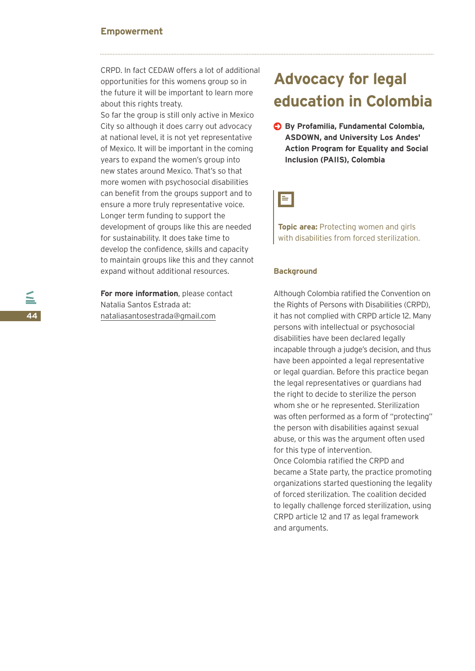### **Empowerment**

CRPD. In fact CEDAW offers a lot of additional opportunities for this womens group so in the future it will be important to learn more about this rights treaty.

So far the group is still only active in Mexico City so although it does carry out advocacy at national level, it is not yet representative of Mexico. It will be important in the coming years to expand the women's group into new states around Mexico. That's so that more women with psychosocial disabilities can benefit from the groups support and to ensure a more truly representative voice. Longer term funding to support the development of groups like this are needed for sustainability. It does take time to develop the confidence, skills and capacity to maintain groups like this and they cannot expand without additional resources.

**For more information**, please contact Natalia Santos Estrada at: nataliasantosestrada@gmail.com

## **Advocacy for legal education in Colombia**

**By Profamilia, Fundamental Colombia, ASDOWN, and University Los Andes' Action Program for Equality and Social Inclusion (PAIIS), Colombia**



**Topic area:** Protecting women and girls with disabilities from forced sterilization.

### **Background**

Although Colombia ratified the Convention on the Rights of Persons with Disabilities (CRPD), it has not complied with CRPD article 12. Many persons with intellectual or psychosocial disabilities have been declared legally incapable through a judge's decision, and thus have been appointed a legal representative or legal guardian. Before this practice began the legal representatives or guardians had the right to decide to sterilize the person whom she or he represented. Sterilization was often performed as a form of "protecting" the person with disabilities against sexual abuse, or this was the argument often used for this type of intervention. Once Colombia ratified the CRPD and became a State party, the practice promoting organizations started questioning the legality of forced sterilization. The coalition decided to legally challenge forced sterilization, using

CRPD article 12 and 17 as legal framework

and arguments.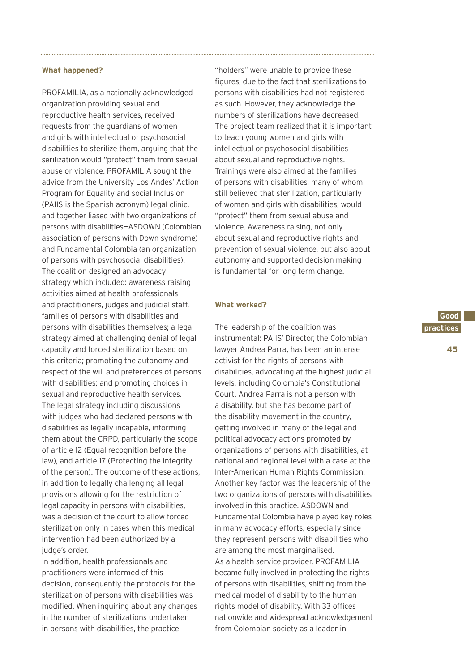#### **What happened?**

PROFAMILIA, as a nationally acknowledged organization providing sexual and reproductive health services, received requests from the guardians of women and girls with intellectual or psychosocial disabilities to sterilize them, arguing that the serilization would "protect" them from sexual abuse or violence. PROFAMILIA sought the advice from the University Los Andes' Action Program for Equality and social Inclusion (PAIIS is the Spanish acronym) legal clinic, and together liased with two organizations of persons with disabilities—ASDOWN (Colombian association of persons with Down syndrome) and Fundamental Colombia (an organization of persons with psychosocial disabilities). The coalition designed an advocacy strategy which included: awareness raising activities aimed at health professionals and practitioners, judges and judicial staff, families of persons with disabilities and persons with disabilities themselves; a legal strategy aimed at challenging denial of legal capacity and forced sterilization based on this criteria; promoting the autonomy and respect of the will and preferences of persons with disabilities; and promoting choices in sexual and reproductive health services. The legal strategy including discussions with judges who had declared persons with disabilities as legally incapable, informing them about the CRPD, particularly the scope of article 12 (Equal recognition before the law), and article 17 (Protecting the integrity of the person). The outcome of these actions, in addition to legally challenging all legal provisions allowing for the restriction of legal capacity in persons with disabilities, was a decision of the court to allow forced sterilization only in cases when this medical intervention had been authorized by a judge's order.

In addition, health professionals and practitioners were informed of this decision, consequently the protocols for the sterilization of persons with disabilities was modified. When inquiring about any changes in the number of sterilizations undertaken in persons with disabilities, the practice

"holders" were unable to provide these figures, due to the fact that sterilizations to persons with disabilities had not registered as such. However, they acknowledge the numbers of sterilizations have decreased. The project team realized that it is important to teach young women and girls with intellectual or psychosocial disabilities about sexual and reproductive rights. Trainings were also aimed at the families of persons with disabilities, many of whom still believed that sterilization, particularly of women and girls with disabilities, would "protect" them from sexual abuse and violence. Awareness raising, not only about sexual and reproductive rights and prevention of sexual violence, but also about autonomy and supported decision making is fundamental for long term change.

### **What worked?**

The leadership of the coalition was instrumental: PAIIS' Director, the Colombian lawyer Andrea Parra, has been an intense activist for the rights of persons with disabilities, advocating at the highest judicial levels, including Colombia's Constitutional Court. Andrea Parra is not a person with a disability, but she has become part of the disability movement in the country, getting involved in many of the legal and political advocacy actions promoted by organizations of persons with disabilities, at national and regional level with a case at the Inter-American Human Rights Commission. Another key factor was the leadership of the two organizations of persons with disabilities involved in this practice. ASDOWN and Fundamental Colombia have played key roles in many advocacy efforts, especially since they represent persons with disabilities who are among the most marginalised. As a health service provider, PROFAMILIA became fully involved in protecting the rights of persons with disabilities, shifting from the medical model of disability to the human rights model of disability. With 33 offices nationwide and widespread acknowledgement from Colombian society as a leader in

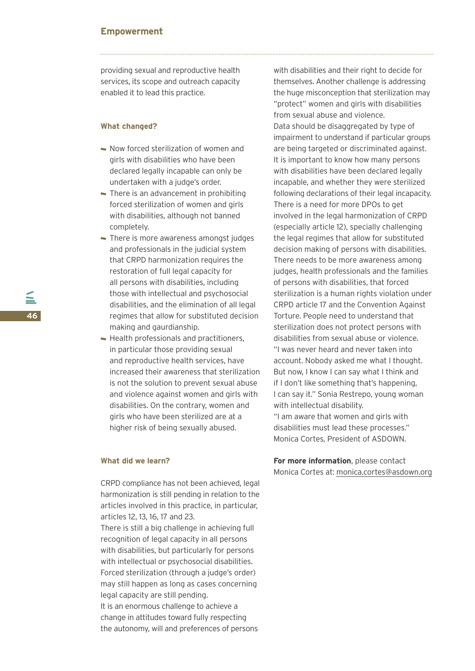### **Empowerment**

providing sexual and reproductive health services, its scope and outreach capacity enabled it to lead this practice.

### **What changed?**

- Now forced sterilization of women and girls with disabilities who have been declared legally incapable can only be undertaken with a judge's order.
- There is an advancement in prohibiting forced sterilization of women and girls with disabilities, although not banned completely.
- There is more awareness amongst judges and professionals in the judicial system that CRPD harmonization requires the restoration of full legal capacity for all persons with disabilities, including those with intellectual and psychosocial disabilities, and the elimination of all legal regimes that allow for substituted decision making and gaurdianship.
- Health professionals and practitioners, in particular those providing sexual and reproductive health services, have increased their awareness that sterilization is not the solution to prevent sexual abuse and violence against women and girls with disabilities. On the contrary, women and girls who have been sterilized are at a higher risk of being sexually abused.

### **What did we learn?**

CRPD compliance has not been achieved, legal harmonization is still pending in relation to the articles involved in this practice, in particular, articles 12, 13, 16, 17 and 23. There is still a big challenge in achieving full recognition of legal capacity in all persons with disabilities, but particularly for persons with intellectual or psychosocial disabilities. Forced sterilization (through a judge's order) may still happen as long as cases concerning legal capacity are still pending. It is an enormous challenge to achieve a change in attitudes toward fully respecting the autonomy, will and preferences of persons

with disabilities and their right to decide for themselves. Another challenge is addressing the huge misconception that sterilization may "protect" women and girls with disabilities from sexual abuse and violence. Data should be disaggregated by type of impairment to understand if particular groups are being targeted or discriminated against. It is important to know how many persons with disabilities have been declared legally incapable, and whether they were sterilized following declarations of their legal incapacity. There is a need for more DPOs to get involved in the legal harmonization of CRPD (especially article 12), specially challenging the legal regimes that allow for substituted decision making of persons with disabilities. There needs to be more awareness among judges, health professionals and the families of persons with disabilities, that forced sterilization is a human rights violation under CRPD article 17 and the Convention Against Torture. People need to understand that sterilization does not protect persons with disabilities from sexual abuse or violence. "I was never heard and never taken into account. Nobody asked me what I thought. But now, I know I can say what I think and if I don't like something that's happening, I can say it." Sonia Restrepo, young woman with intellectual disability.

"I am aware that women and girls with disabilities must lead these processes." Monica Cortes, President of ASDOWN.

**For more information**, please contact Monica Cortes at: monica.cortes@asdown.org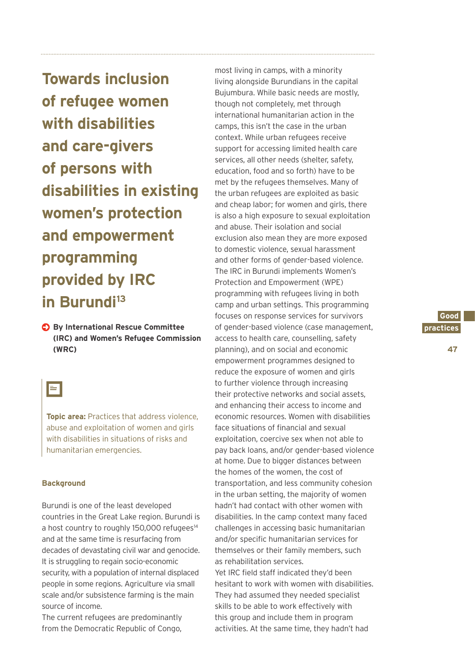**Towards inclusion of refugee women with disabilities and care-givers of persons with disabilities in existing women's protection and empowerment programming provided by IRC in Burundi13**

**By International Rescue Committee (IRC) and Women's Refugee Commission (WRC)**

### E

**Topic area:** Practices that address violence, abuse and exploitation of women and girls with disabilities in situations of risks and humanitarian emergencies.

### **Background**

Burundi is one of the least developed countries in the Great Lake region. Burundi is a host country to roughly 150,000 refugees<sup>14</sup> and at the same time is resurfacing from decades of devastating civil war and genocide. It is struggling to regain socio-economic security, with a population of internal displaced people in some regions. Agriculture via small scale and/or subsistence farming is the main source of income.

The current refugees are predominantly from the Democratic Republic of Congo,

most living in camps, with a minority living alongside Burundians in the capital Bujumbura. While basic needs are mostly, though not completely, met through international humanitarian action in the camps, this isn't the case in the urban context. While urban refugees receive support for accessing limited health care services, all other needs (shelter, safety, education, food and so forth) have to be met by the refugees themselves. Many of the urban refugees are exploited as basic and cheap labor; for women and girls, there is also a high exposure to sexual exploitation and abuse. Their isolation and social exclusion also mean they are more exposed to domestic violence, sexual harassment and other forms of gender-based violence. The IRC in Burundi implements Women's Protection and Empowerment (WPE) programming with refugees living in both camp and urban settings. This programming focuses on response services for survivors of gender-based violence (case management, access to health care, counselling, safety planning), and on social and economic empowerment programmes designed to reduce the exposure of women and girls to further violence through increasing their protective networks and social assets, and enhancing their access to income and economic resources. Women with disabilities face situations of financial and sexual exploitation, coercive sex when not able to pay back loans, and/or gender-based violence at home. Due to bigger distances between the homes of the women, the cost of transportation, and less community cohesion in the urban setting, the majority of women hadn't had contact with other women with disabilities. In the camp context many faced challenges in accessing basic humanitarian and/or specific humanitarian services for themselves or their family members, such as rehabilitation services.

Yet IRC field staff indicated they'd been hesitant to work with women with disabilities. They had assumed they needed specialist skills to be able to work effectively with this group and include them in program activities. At the same time, they hadn't had

### **Good. practices.**

**47**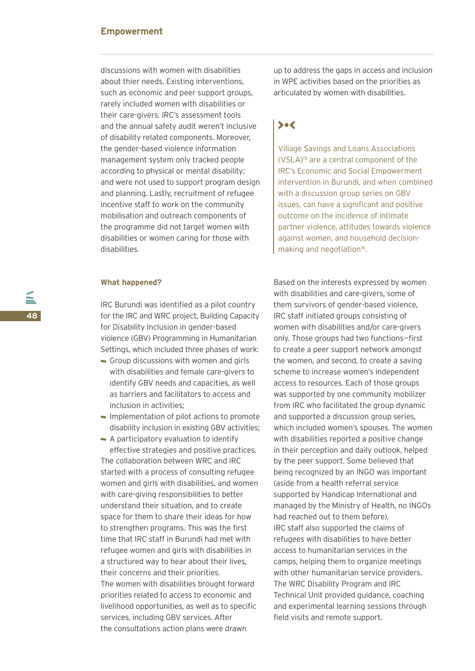### **Empowerment**

discussions with women with disabilities about thier needs. Existing interventions, such as economic and peer support groups, rarely included women with disabilities or their care-givers. IRC's assessment tools and the annual safety audit weren't inclusive of disability related components. Moreover, the gender-based violence information management system only tracked people according to physical or mental disability; and were not used to support program design and planning. Lastly, recruitment of refugee incentive staff to work on the community mobilisation and outreach components of the programme did not target women with disabilities or women caring for those with disabilities.

### **What happened?**

IRC Burundi was identified as a pilot country for the IRC and WRC project, Building Capacity for Disability Inclusion in gender-based violence (GBV) Programming in Humanitarian Settings, which included three phases of work:

- Group discussions with women and girls with disabilities and female care-givers to identify GBV needs and capacities, as well as barriers and facilitators to access and inclusion in activities;
- $\blacksquare$  Implementation of pilot actions to promote disability inclusion in existing GBV activities;

A participatory evaluation to identify effective strategies and positive practices. The collaboration between WRC and IRC started with a process of consulting refugee women and girls with disabilities, and women with care-giving responsibilities to better understand their situation, and to create space for them to share their ideas for how to strengthen programs. This was the first time that IRC staff in Burundi had met with refugee women and girls with disabilities in a structured way to hear about their lives, their concerns and their priorities. The women with disabilities brought forward priorities related to access to economic and livelihood opportunities, as well as to specific services, including GBV services. After the consultations action plans were drawn

up to address the gaps in access and inclusion in WPE activities based on the priorities as articulated by women with disabilities.

### $\searrow$

Village Savings and Loans Associations (VSLA)15 are a central component of the IRC's Economic and Social Empowerment intervention in Burundi, and when combined with a discussion group series on GBV issues, can have a significant and positive outcome on the incidence of intimate partner violence, attitudes towards violence against women, and household decisionmaking and negotiation<sup>16</sup>.

Based on the interests expressed by women with disabilities and care-givers, some of them survivors of gender-based violence, IRC staff initiated groups consisting of women with disabilities and/or care-givers only. Those groups had two functions—first to create a peer support network amongst the women, and second, to create a saving scheme to increase women's independent access to resources. Each of those groups was supported by one community mobilizer from IRC who facilitated the group dynamic and supported a discussion group series, which included women's spouses. The women with disabilities reported a positive change in their perception and daily outlook, helped by the peer support. Some believed that being recognized by an INGO was important (aside from a health referral service supported by Handicap International and managed by the Ministry of Health, no INGOs had reached out to them before). IRC staff also supported the claims of refugees with disabilities to have better access to humanitarian services in the camps, helping them to organize meetings with other humanitarian service providers. The WRC Disability Program and IRC Technical Unit provided guidance, coaching and experimental learning sessions through field visits and remote support.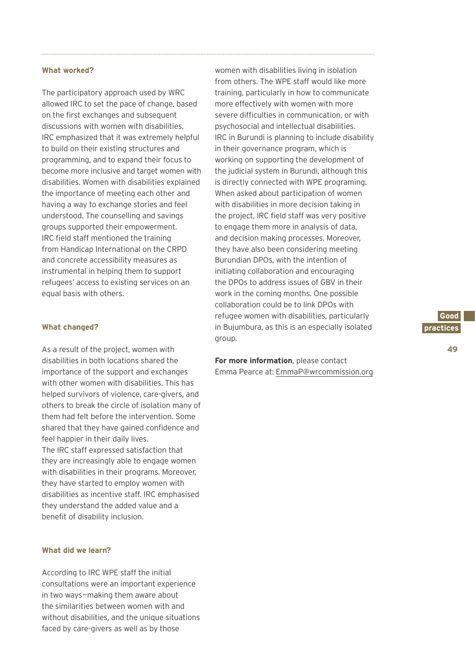### **What worked?**

The participatory approach used by WRC allowed IRC to set the pace of change, based on the first exchanges and subsequent discussions with women with disabilities. IRC emphasized that it was extremely helpful to build on their existing structures and programming, and to expand their focus to become more inclusive and target women with disabilities. Women with disabilities explained the importance of meeting each other and having a way to exchange stories and feel understood. The counselling and savings groups supported their empowerment. IRC field staff mentioned the training from Handicap International on the CRPD and concrete accessibility measures as instrumental in helping them to support refugees' access to existing services on an equal basis with others.

### **What changed?**

As a result of the project, women with disabilities in both locations shared the importance of the support and exchanges with other women with disabilities. This has helped survivors of violence, care-givers, and others to break the circle of isolation many of them had felt before the intervention. Some shared that they have gained confidence and feel happier in their daily lives. The IRC staff expressed satisfaction that they are increasingly able to engage women with disabilities in their programs. Moreover, they have started to employ women with disabilities as incentive staff. IRC emphasised they understand the added value and a benefit of disability inclusion.

### **What did we learn?**

According to IRC WPE staff the initial consultations were an important experience in two ways—making them aware about the similarities between women with and without disabilities, and the unique situations faced by care-givers as well as by those

women with disabilities living in isolation from others. The WPE staff would like more training, particularly in how to communicate more effectively with women with more severe difficulties in communication, or with psychosocial and intellectual disabilities. IRC in Burundi is planning to include disability in their governance program, which is working on supporting the development of the judicial system in Burundi, although this is directly connected with WPE programing. When asked about participation of women with disabilities in more decision taking in the project, IRC field staff was very positive to engage them more in analysis of data, and decision making processes. Moreover, they have also been considering meeting Burundian DPOs, with the intention of initiating collaboration and encouraging the DPOs to address issues of GBV in their work in the coming months. One possible collaboration could be to link DPOs with refugee women with disabilities, particularly in Bujumbura, as this is an especially isolated group.

**For more information**, please contact Emma Pearce at: EmmaP@wrcommission.org

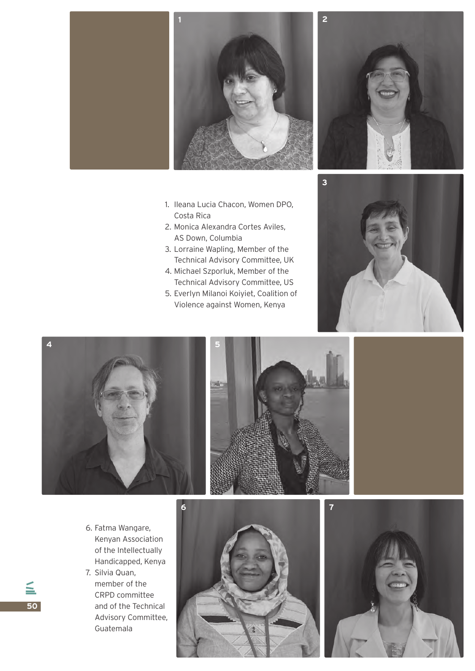

- 1. Ileana Lucia Chacon, Women DPO, Costa Rica
- 2. Monica Alexandra Cortes Aviles, AS Down, Columbia
- 3. Lorraine Wapling, Member of the Technical Advisory Committee, UK
- 4. Michael Szporluk, Member of the Technical Advisory Committee, US
- 5. Everlyn Milanoi Koiyiet, Coalition of Violence against Women, Kenya









- 6. Fatma Wangare, Kenyan Association of the Intellectually Handicapped, Kenya
- 7. Silvia Quan, member of the CRPD committee and of the Technical Advisory Committee, Guatemala





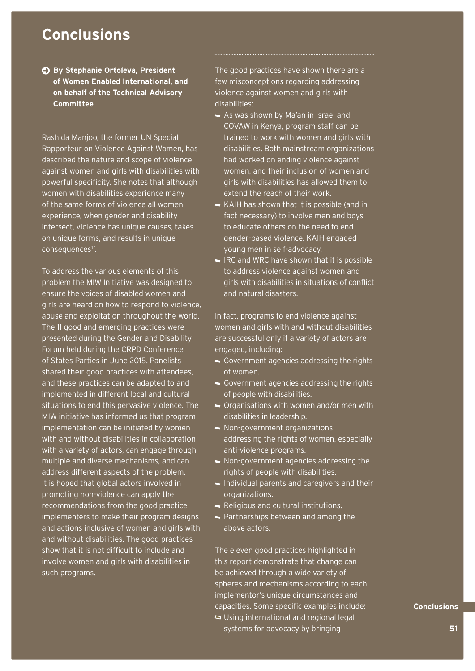### **Conclusions**

**By Stephanie Ortoleva, President of Women Enabled International, and on behalf of the Technical Advisory Committee** 

Rashida Manjoo, the former UN Special Rapporteur on Violence Against Women, has described the nature and scope of violence against women and girls with disabilities with powerful specificity. She notes that although women with disabilities experience many of the same forms of violence all women experience, when gender and disability intersect, violence has unique causes, takes on unique forms, and results in unique consequences<sup>17</sup>.

To address the various elements of this problem the MIW Initiative was designed to ensure the voices of disabled women and girls are heard on how to respond to violence, abuse and exploitation throughout the world. The 11 good and emerging practices were presented during the Gender and Disability Forum held during the CRPD Conference of States Parties in June 2015. Panelists shared their good practices with attendees, and these practices can be adapted to and implemented in different local and cultural situations to end this pervasive violence. The MIW initiative has informed us that program implementation can be initiated by women with and without disabilities in collaboration with a variety of actors, can engage through multiple and diverse mechanisms, and can address different aspects of the problem. It is hoped that global actors involved in promoting non-violence can apply the recommendations from the good practice implementers to make their program designs and actions inclusive of women and girls with and without disabilities. The good practices show that it is not difficult to include and involve women and girls with disabilities in such programs.

The good practices have shown there are a few misconceptions regarding addressing violence against women and girls with disabilities:

- As was shown by Ma'an in Israel and COVAW in Kenya, program staff can be trained to work with women and girls with disabilities. Both mainstream organizations had worked on ending violence against women, and their inclusion of women and girls with disabilities has allowed them to extend the reach of their work.
- KAIH has shown that it is possible (and in fact necessary) to involve men and boys to educate others on the need to end gender-based violence. KAIH engaged young men in self-advocacy.
- $\blacksquare$  IRC and WRC have shown that it is possible to address violence against women and girls with disabilities in situations of conflict and natural disasters.

In fact, programs to end violence against women and girls with and without disabilities are successful only if a variety of actors are engaged, including:

- Government agencies addressing the rights of women.
- Government agencies addressing the rights of people with disabilities.
- Organisations with women and/or men with disabilities in leadership.
- Non-government organizations addressing the rights of women, especially anti-violence programs.
- Non-government agencies addressing the rights of people with disabilities.
- Individual parents and caregivers and their organizations.
- Religious and cultural institutions.
- Partnerships between and among the above actors.

The eleven good practices highlighted in this report demonstrate that change can be achieved through a wide variety of spheres and mechanisms according to each implementor's unique circumstances and capacities. Some specific examples include: Using international and regional legal systems for advocacy by bringing

### **Conclusions.**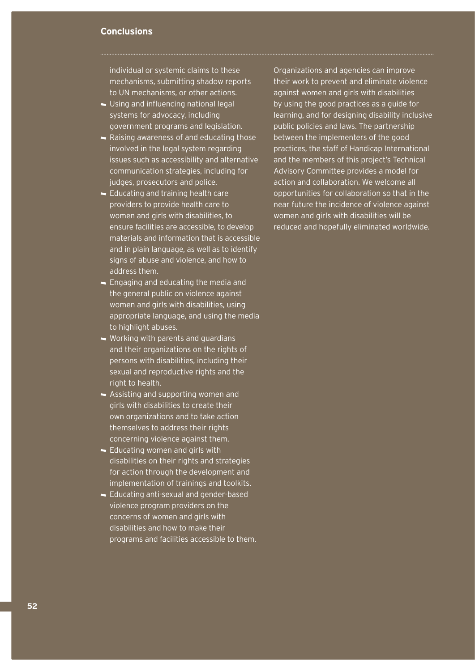### **Conclusions**

individual or systemic claims to these mechanisms, submitting shadow reports to UN mechanisms, or other actions.

- Using and influencing national legal systems for advocacy, including government programs and legislation.
- Raising awareness of and educating those involved in the legal system regarding issues such as accessibility and alternative communication strategies, including for judges, prosecutors and police.
- Educating and training health care providers to provide health care to women and girls with disabilities, to ensure facilities are accessible, to develop materials and information that is accessible and in plain language, as well as to identify signs of abuse and violence, and how to address them.
- **Engaging and educating the media and** the general public on violence against women and girls with disabilities, using appropriate language, and using the media to highlight abuses.
- Working with parents and guardians and their organizations on the rights of persons with disabilities, including their sexual and reproductive rights and the right to health.
- Assisting and supporting women and girls with disabilities to create their own organizations and to take action themselves to address their rights concerning violence against them.
- **Educating women and girls with** disabilities on their rights and strategies for action through the development and implementation of trainings and toolkits.
- Educating anti-sexual and gender-based violence program providers on the concerns of women and girls with disabilities and how to make their programs and facilities accessible to them.

Organizations and agencies can improve their work to prevent and eliminate violence against women and girls with disabilities by using the good practices as a guide for learning, and for designing disability inclusive public policies and laws. The partnership between the implementers of the good practices, the staff of Handicap International and the members of this project's Technical Advisory Committee provides a model for action and collaboration. We welcome all opportunities for collaboration so that in the near future the incidence of violence against women and girls with disabilities will be reduced and hopefully eliminated worldwide.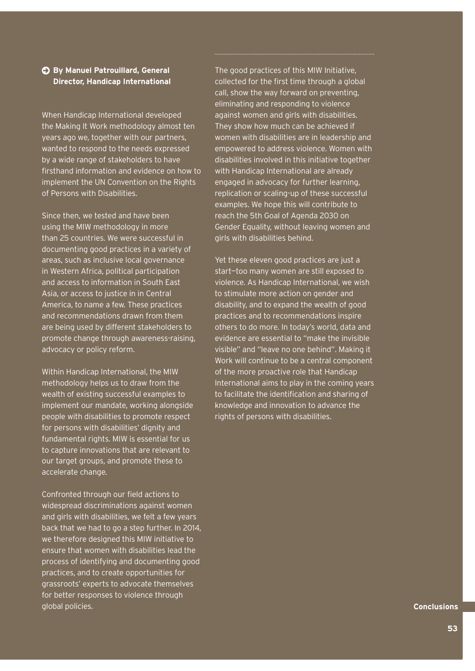### **By Manuel Patrouillard, General Director, Handicap International**

When Handicap International developed the Making It Work methodology almost ten years ago we, together with our partners, wanted to respond to the needs expressed by a wide range of stakeholders to have firsthand information and evidence on how to implement the UN Convention on the Rights of Persons with Disabilities.

Since then, we tested and have been using the MIW methodology in more than 25 countries. We were successful in documenting good practices in a variety of areas, such as inclusive local governance in Western Africa, political participation and access to information in South East Asia, or access to justice in in Central America, to name a few. These practices and recommendations drawn from them are being used by different stakeholders to promote change through awareness-raising, advocacy or policy reform.

Within Handicap International, the MIW methodology helps us to draw from the wealth of existing successful examples to implement our mandate, working alongside people with disabilities to promote respect for persons with disabilities' dignity and fundamental rights. MIW is essential for us to capture innovations that are relevant to our target groups, and promote these to accelerate change.

Confronted through our field actions to widespread discriminations against women and girls with disabilities, we felt a few years back that we had to go a step further. In 2014, we therefore designed this MIW initiative to ensure that women with disabilities lead the process of identifying and documenting good practices, and to create opportunities for grassroots' experts to advocate themselves for better responses to violence through global policies.

The good practices of this MIW Initiative, collected for the first time through a global call, show the way forward on preventing, eliminating and responding to violence against women and girls with disabilities. They show how much can be achieved if women with disabilities are in leadership and empowered to address violence. Women with disabilities involved in this initiative together with Handicap International are already engaged in advocacy for further learning, replication or scaling-up of these successful examples. We hope this will contribute to reach the 5th Goal of Agenda 2030 on Gender Equality, without leaving women and girls with disabilities behind.

Yet these eleven good practices are just a start—too many women are still exposed to violence. As Handicap International, we wish to stimulate more action on gender and disability, and to expand the wealth of good practices and to recommendations inspire others to do more. In today's world, data and evidence are essential to "make the invisible visible" and "leave no one behind". Making it Work will continue to be a central component of the more proactive role that Handicap International aims to play in the coming years to facilitate the identification and sharing of knowledge and innovation to advance the rights of persons with disabilities.

**Conclusions.**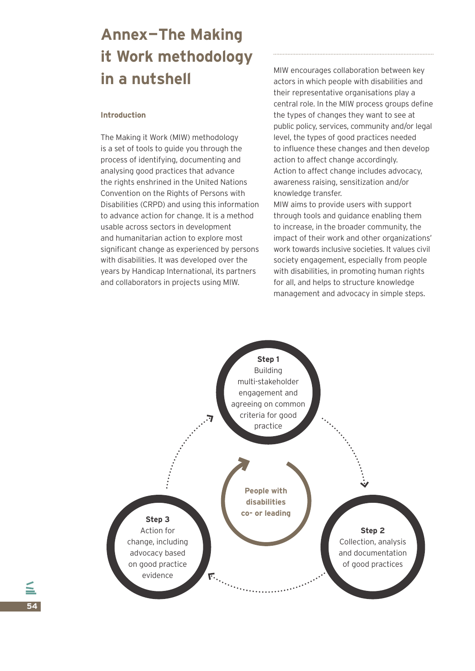# **Annex—The Making it Work methodology in a nutshell**

### **Introduction**

The Making it Work (MIW) methodology is a set of tools to guide you through the process of identifying, documenting and analysing good practices that advance the rights enshrined in the United Nations Convention on the Rights of Persons with Disabilities (CRPD) and using this information to advance action for change. It is a method usable across sectors in development and humanitarian action to explore most significant change as experienced by persons with disabilities. It was developed over the years by Handicap International, its partners and collaborators in projects using MIW.

MIW encourages collaboration between key actors in which people with disabilities and their representative organisations play a central role. In the MIW process groups define the types of changes they want to see at public policy, services, community and/or legal level, the types of good practices needed to influence these changes and then develop action to affect change accordingly. Action to affect change includes advocacy, awareness raising, sensitization and/or knowledge transfer.

MIW aims to provide users with support through tools and guidance enabling them to increase, in the broader community, the impact of their work and other organizations' work towards inclusive societies. It values civil society engagement, especially from people with disabilities, in promoting human rights for all, and helps to structure knowledge management and advocacy in simple steps.

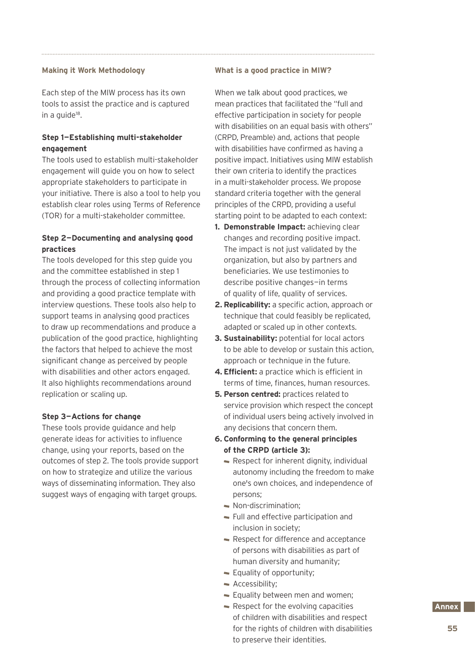### **Making it Work Methodology**

Each step of the MIW process has its own tools to assist the practice and is captured in a quide<sup>18</sup>.

### **Step 1—Establishing multi-stakeholder engagement**

The tools used to establish multi-stakeholder engagement will guide you on how to select appropriate stakeholders to participate in your initiative. There is also a tool to help you establish clear roles using Terms of Reference (TOR) for a multi-stakeholder committee.

### **Step 2—Documenting and analysing good practices**

The tools developed for this step guide you and the committee established in step 1 through the process of collecting information and providing a good practice template with interview questions. These tools also help to support teams in analysing good practices to draw up recommendations and produce a publication of the good practice, highlighting the factors that helped to achieve the most significant change as perceived by people with disabilities and other actors engaged. It also highlights recommendations around replication or scaling up.

### **Step 3—Actions for change**

These tools provide guidance and help generate ideas for activities to influence change, using your reports, based on the outcomes of step 2. The tools provide support on how to strategize and utilize the various ways of disseminating information. They also suggest ways of engaging with target groups.

### **What is a good practice in MIW?**

When we talk about good practices, we mean practices that facilitated the "full and effective participation in society for people with disabilities on an equal basis with others" (CRPD, Preamble) and, actions that people with disabilities have confirmed as having a positive impact. Initiatives using MIW establish their own criteria to identify the practices in a multi-stakeholder process. We propose standard criteria together with the general principles of the CRPD, providing a useful starting point to be adapted to each context:

- **1. Demonstrable Impact:** achieving clear changes and recording positive impact. The impact is not just validated by the organization, but also by partners and beneficiaries. We use testimonies to describe positive changes—in terms of quality of life, quality of services.
- **2. Replicability:** a specific action, approach or technique that could feasibly be replicated, adapted or scaled up in other contexts.
- **3. Sustainability:** potential for local actors to be able to develop or sustain this action, approach or technique in the future.
- **4. Efficient:** a practice which is efficient in terms of time, finances, human resources.
- **5. Person centred:** practices related to service provision which respect the concept of individual users being actively involved in any decisions that concern them.
- **6. Conforming to the general principles of the CRPD (article 3):**
	- Respect for inherent dignity, individual autonomy including the freedom to make one's own choices, and independence of persons;
	- Non-discrimination:
	- Full and effective participation and inclusion in society;
	- Respect for difference and acceptance of persons with disabilities as part of human diversity and humanity;
	- **Equality of opportunity;**
	- Accessibility:
	- **Equality between men and women:**
	- $\blacktriangleright$  Respect for the evolving capacities of children with disabilities and respect for the rights of children with disabilities to preserve their identities.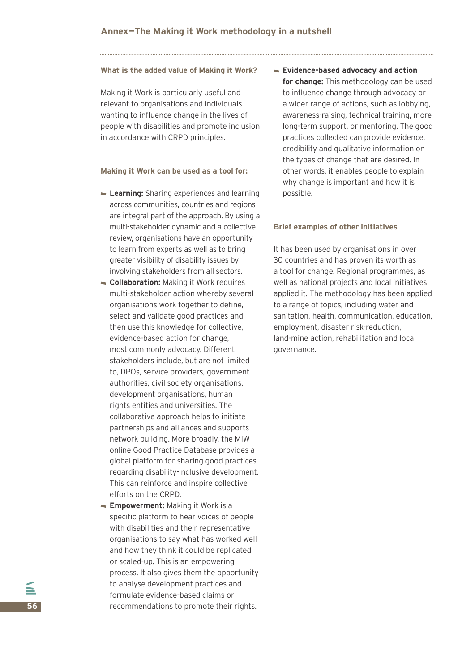#### **What is the added value of Making it Work?**

Making it Work is particularly useful and relevant to organisations and individuals wanting to influence change in the lives of people with disabilities and promote inclusion in accordance with CRPD principles.

### **Making it Work can be used as a tool for:**

- **Learning:** Sharing experiences and learning across communities, countries and regions are integral part of the approach. By using a multi-stakeholder dynamic and a collective review, organisations have an opportunity to learn from experts as well as to bring greater visibility of disability issues by involving stakeholders from all sectors.
- **Collaboration:** Making it Work requires multi-stakeholder action whereby several organisations work together to define, select and validate good practices and then use this knowledge for collective, evidence-based action for change, most commonly advocacy. Different stakeholders include, but are not limited to, DPOs, service providers, government authorities, civil society organisations, development organisations, human rights entities and universities. The collaborative approach helps to initiate partnerships and alliances and supports network building. More broadly, the MIW online Good Practice Database provides a global platform for sharing good practices regarding disability-inclusive development. This can reinforce and inspire collective efforts on the CRPD.
- **Empowerment:** Making it Work is a specific platform to hear voices of people with disabilities and their representative organisations to say what has worked well and how they think it could be replicated or scaled-up. This is an empowering process. It also gives them the opportunity to analyse development practices and formulate evidence-based claims or recommendations to promote their rights.

**Evidence-based advocacy and action for change:** This methodology can be used to influence change through advocacy or a wider range of actions, such as lobbying, awareness-raising, technical training, more long-term support, or mentoring. The good practices collected can provide evidence, credibility and qualitative information on the types of change that are desired. In other words, it enables people to explain why change is important and how it is possible.

### **Brief examples of other initiatives**

It has been used by organisations in over 30 countries and has proven its worth as a tool for change. Regional programmes, as well as national projects and local initiatives applied it. The methodology has been applied to a range of topics, including water and sanitation, health, communication, education, employment, disaster risk-reduction, land-mine action, rehabilitation and local governance.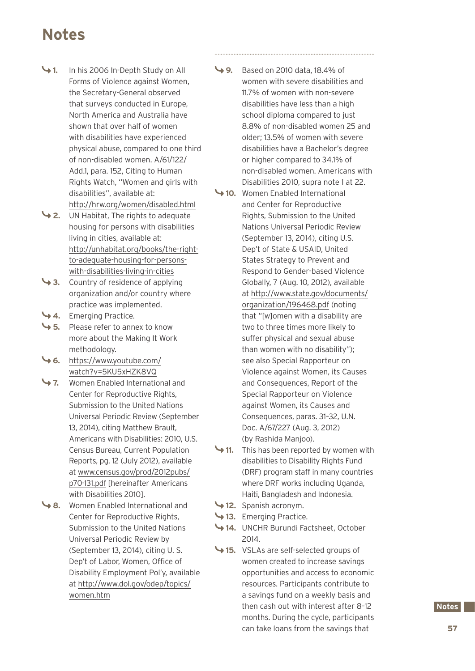### **Notes**

- **1.** In his 2006 In-Depth Study on All Forms of Violence against Women, the Secretary-General observed that surveys conducted in Europe, North America and Australia have shown that over half of women with disabilities have experienced physical abuse, compared to one third of non-disabled women. A/61/122/ Add.1, para. 152, Citing to Human Rights Watch, "Women and girls with disabilities", available at: http://hrw.org/women/disabled.html
- **2.** UN Habitat, The rights to adequate housing for persons with disabilities living in cities, available at: http://unhabitat.org/books/the-rightto-adequate-housing-for-personswith-disabilities-living-in-cities
- **3.** Country of residence of applying organization and/or country where practice was implemented.
- **4.** Emerging Practice.
- **5.** Please refer to annex to know more about the Making It Work methodology.
- **6.** https://www.youtube.com/ watch?v=5KU5xHZK8VQ
- **7.** Women Enabled International and Center for Reproductive Rights, Submission to the United Nations Universal Periodic Review (September 13, 2014), citing Matthew Brault, Americans with Disabilities: 2010, U.S. Census Bureau, Current Population Reports, pg. 12 (July 2012), available at www.census.gov/prod/2012pubs/ p70-131.pdf [hereinafter Americans with Disabilities 2010].
- **8.** Women Enabled International and Center for Reproductive Rights, Submission to the United Nations Universal Periodic Review by (September 13, 2014), citing U. S. Dep't of Labor, Women, Office of Disability Employment Pol'y, available at http://www.dol.gov/odep/topics/ women.htm
- **9.** Based on 2010 data, 18.4% of women with severe disabilities and 11.7% of women with non-severe disabilities have less than a high school diploma compared to just 8.8% of non-disabled women 25 and older; 13.5% of women with severe disabilities have a Bachelor's degree or higher compared to 34.1% of non-disabled women. Americans with Disabilities 2010, supra note 1 at 22.
- **10.** Women Enabled International and Center for Reproductive Rights, Submission to the United Nations Universal Periodic Review (September 13, 2014), citing U.S. Dep't of State & USAID, United States Strategy to Prevent and Respond to Gender-based Violence Globally, 7 (Aug. 10, 2012), available at http://www.state.gov/documents/ organization/196468.pdf (noting that "[w]omen with a disability are two to three times more likely to suffer physical and sexual abuse than women with no disability"); see also Special Rapporteur on Violence against Women, its Causes and Consequences, Report of the Special Rapporteur on Violence against Women, its Causes and Consequences, paras. 31–32, U.N. Doc. A/67/227 (Aug. 3, 2012) (by Rashida Manjoo).
- **11.** This has been reported by women with disabilities to Disability Rights Fund (DRF) program staff in many countries where DRF works including Uganda, Haiti, Bangladesh and Indonesia.
- **12.** Spanish acronym.
- **13.** Emerging Practice.
- **14.** UNCHR Burundi Factsheet, October 2014.
- **15.** VSLAs are self-selected groups of women created to increase savings opportunities and access to economic resources. Participants contribute to a savings fund on a weekly basis and then cash out with interest after 8–12 months. During the cycle, participants can take loans from the savings that

### **Notes.**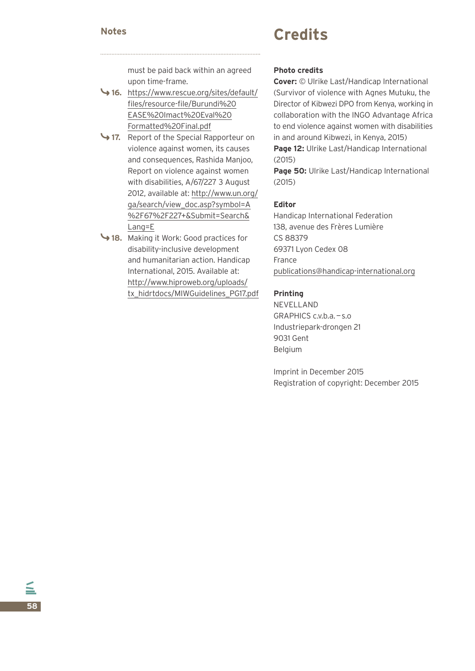**58**

### **Credits Notes**

must be paid back within an agreed upon time-frame.

- **16.** https://www.rescue.org/sites/default/ files/resource-file/Burundi%20 EASE%20Imact%20Eval%20 Formatted%20Final.pdf
- **17.** Report of the Special Rapporteur on violence against women, its causes and consequences, Rashida Manjoo, Report on violence against women with disabilities, A/67/227 3 August 2012, available at: http://www.un.org/ ga/search/view\_doc.asp?symbol=A %2F67%2F227+&Submit=Search& Lang=E
- **18.** Making it Work: Good practices for disability-inclusive development and humanitarian action. Handicap International, 2015. Available at: http://www.hiproweb.org/uploads/ tx\_hidrtdocs/MIWGuidelines\_PG17.pdf

### **Photo credits**

**Cover:** © Ulrike Last/Handicap International (Survivor of violence with Agnes Mutuku, the Director of Kibwezi DPO from Kenya, working in collaboration with the INGO Advantage Africa to end violence against women with disabilities in and around Kibwezi, in Kenya, 2015) **Page 12:** Ulrike Last/Handicap International (2015)

**Page 50:** Ulrike Last/Handicap International (2015)

### **Editor**

Handicap International Federation 138, avenue des Frères Lumière CS 88379 69371 Lyon Cedex 08 France publications@handicap-international.org

### **Printing**

NEVELLAND GRAPHICS c.v.b.a.—s.o Industriepark-drongen 21 9031 Gent Belgium

Imprint in December 2015 Registration of copyright: December 2015